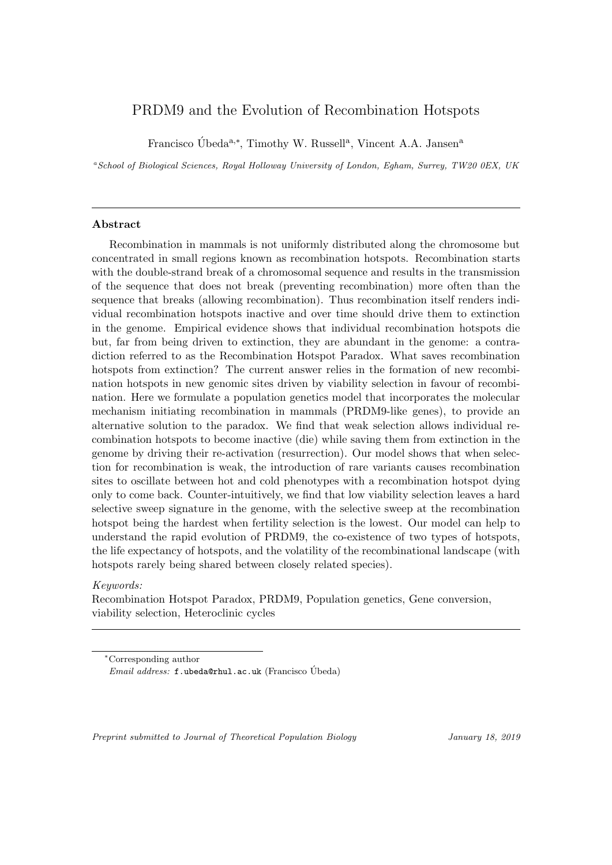# PRDM9 and the Evolution of Recombination Hotspots

Francisco Úbeda<sup>a,∗</sup>, Timothy W. Russell<sup>a</sup>, Vincent A.A. Jansen<sup>a</sup>

<sup>a</sup>School of Biological Sciences, Royal Holloway University of London, Egham, Surrey, TW20 0EX, UK

# Abstract

Recombination in mammals is not uniformly distributed along the chromosome but concentrated in small regions known as recombination hotspots. Recombination starts with the double-strand break of a chromosomal sequence and results in the transmission of the sequence that does not break (preventing recombination) more often than the sequence that breaks (allowing recombination). Thus recombination itself renders individual recombination hotspots inactive and over time should drive them to extinction in the genome. Empirical evidence shows that individual recombination hotspots die but, far from being driven to extinction, they are abundant in the genome: a contradiction referred to as the Recombination Hotspot Paradox. What saves recombination hotspots from extinction? The current answer relies in the formation of new recombination hotspots in new genomic sites driven by viability selection in favour of recombination. Here we formulate a population genetics model that incorporates the molecular mechanism initiating recombination in mammals (PRDM9-like genes), to provide an alternative solution to the paradox. We find that weak selection allows individual recombination hotspots to become inactive (die) while saving them from extinction in the genome by driving their re-activation (resurrection). Our model shows that when selection for recombination is weak, the introduction of rare variants causes recombination sites to oscillate between hot and cold phenotypes with a recombination hotspot dying only to come back. Counter-intuitively, we find that low viability selection leaves a hard selective sweep signature in the genome, with the selective sweep at the recombination hotspot being the hardest when fertility selection is the lowest. Our model can help to understand the rapid evolution of PRDM9, the co-existence of two types of hotspots, the life expectancy of hotspots, and the volatility of the recombinational landscape (with hotspots rarely being shared between closely related species).

# Keywords:

Recombination Hotspot Paradox, PRDM9, Population genetics, Gene conversion, viability selection, Heteroclinic cycles

Preprint submitted to Journal of Theoretical Population Biology January 18, 2019

<sup>∗</sup>Corresponding author

 $Email \ address:$  f.ubeda@rhul.ac.uk (Francisco Úbeda)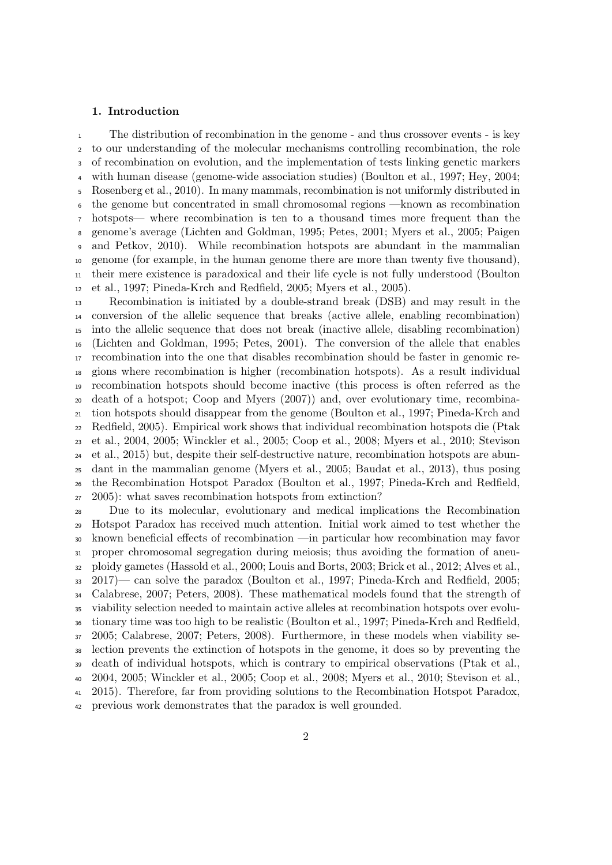#### 1. Introduction

 The distribution of recombination in the genome - and thus crossover events - is key to our understanding of the molecular mechanisms controlling recombination, the role of recombination on evolution, and the implementation of tests linking genetic markers with human disease (genome-wide association studies) (Boulton et al., 1997; Hey, 2004; Rosenberg et al., 2010). In many mammals, recombination is not uniformly distributed in the genome but concentrated in small chromosomal regions —known as recombination hotspots— where recombination is ten to a thousand times more frequent than the genome's average (Lichten and Goldman, 1995; Petes, 2001; Myers et al., 2005; Paigen and Petkov, 2010). While recombination hotspots are abundant in the mammalian genome (for example, in the human genome there are more than twenty five thousand), their mere existence is paradoxical and their life cycle is not fully understood (Boulton et al., 1997; Pineda-Krch and Redfield, 2005; Myers et al., 2005).

 Recombination is initiated by a double-strand break (DSB) and may result in the conversion of the allelic sequence that breaks (active allele, enabling recombination) into the allelic sequence that does not break (inactive allele, disabling recombination) (Lichten and Goldman, 1995; Petes, 2001). The conversion of the allele that enables recombination into the one that disables recombination should be faster in genomic re- gions where recombination is higher (recombination hotspots). As a result individual recombination hotspots should become inactive (this process is often referred as the death of a hotspot; Coop and Myers (2007)) and, over evolutionary time, recombina- tion hotspots should disappear from the genome (Boulton et al., 1997; Pineda-Krch and Redfield, 2005). Empirical work shows that individual recombination hotspots die (Ptak et al., 2004, 2005; Winckler et al., 2005; Coop et al., 2008; Myers et al., 2010; Stevison et al., 2015) but, despite their self-destructive nature, recombination hotspots are abun- dant in the mammalian genome (Myers et al., 2005; Baudat et al., 2013), thus posing the Recombination Hotspot Paradox (Boulton et al., 1997; Pineda-Krch and Redfield, 2005): what saves recombination hotspots from extinction?

 Due to its molecular, evolutionary and medical implications the Recombination Hotspot Paradox has received much attention. Initial work aimed to test whether the known beneficial effects of recombination —in particular how recombination may favor proper chromosomal segregation during meiosis; thus avoiding the formation of aneu- ploidy gametes (Hassold et al., 2000; Louis and Borts, 2003; Brick et al., 2012; Alves et al., 2017)— can solve the paradox (Boulton et al., 1997; Pineda-Krch and Redfield, 2005; Calabrese, 2007; Peters, 2008). These mathematical models found that the strength of viability selection needed to maintain active alleles at recombination hotspots over evolu- tionary time was too high to be realistic (Boulton et al., 1997; Pineda-Krch and Redfield, 2005; Calabrese, 2007; Peters, 2008). Furthermore, in these models when viability se- lection prevents the extinction of hotspots in the genome, it does so by preventing the death of individual hotspots, which is contrary to empirical observations (Ptak et al., 2004, 2005; Winckler et al., 2005; Coop et al., 2008; Myers et al., 2010; Stevison et al., 2015). Therefore, far from providing solutions to the Recombination Hotspot Paradox, previous work demonstrates that the paradox is well grounded.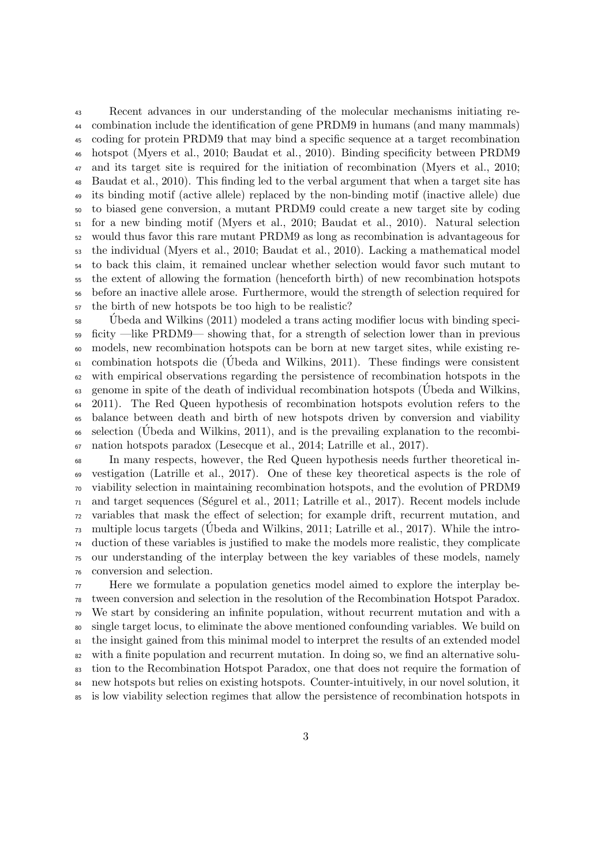Recent advances in our understanding of the molecular mechanisms initiating re- combination include the identification of gene PRDM9 in humans (and many mammals) coding for protein PRDM9 that may bind a specific sequence at a target recombination hotspot (Myers et al., 2010; Baudat et al., 2010). Binding specificity between PRDM9 and its target site is required for the initiation of recombination (Myers et al., 2010; Baudat et al., 2010). This finding led to the verbal argument that when a target site has its binding motif (active allele) replaced by the non-binding motif (inactive allele) due to biased gene conversion, a mutant PRDM9 could create a new target site by coding for a new binding motif (Myers et al., 2010; Baudat et al., 2010). Natural selection would thus favor this rare mutant PRDM9 as long as recombination is advantageous for the individual (Myers et al., 2010; Baudat et al., 2010). Lacking a mathematical model to back this claim, it remained unclear whether selection would favor such mutant to the extent of allowing the formation (henceforth birth) of new recombination hotspots before an inactive allele arose. Furthermore, would the strength of selection required for the birth of new hotspots be too high to be realistic?

 $\ddot{\text{S}}$  Ubeda and Wilkins (2011) modeled a trans acting modifier locus with binding speci- ficity —like PRDM9— showing that, for a strength of selection lower than in previous models, new recombination hotspots can be born at new target sites, while existing re- $\sigma$  combination hotspots die (Ubeda and Wilkins, 2011). These findings were consistent with empirical observations regarding the persistence of recombination hotspots in the genome in spite of the death of individual recombination hotspots (Ubeda and Wilkins, ´ 2011). The Red Queen hypothesis of recombination hotspots evolution refers to the balance between death and birth of new hotspots driven by conversion and viability  $\epsilon$  selection (Ubeda and Wilkins, 2011), and is the prevailing explanation to the recombi- $\sigma$  nation hotspots paradox (Lesecque et al., 2014; Latrille et al., 2017).

 In many respects, however, the Red Queen hypothesis needs further theoretical in- vestigation (Latrille et al., 2017). One of these key theoretical aspects is the role of viability selection in maintaining recombination hotspots, and the evolution of PRDM9  $\pi_1$  and target sequences (Ségurel et al., 2011; Latrille et al., 2017). Recent models include variables that mask the effect of selection; for example drift, recurrent mutation, and  $\mu$ <sub>73</sub> multiple locus targets (Ubeda and Wilkins, 2011; Latrille et al., 2017). While the intro- duction of these variables is justified to make the models more realistic, they complicate our understanding of the interplay between the key variables of these models, namely conversion and selection.

 Here we formulate a population genetics model aimed to explore the interplay be- tween conversion and selection in the resolution of the Recombination Hotspot Paradox. We start by considering an infinite population, without recurrent mutation and with a single target locus, to eliminate the above mentioned confounding variables. We build on the insight gained from this minimal model to interpret the results of an extended model with a finite population and recurrent mutation. In doing so, we find an alternative solu- tion to the Recombination Hotspot Paradox, one that does not require the formation of new hotspots but relies on existing hotspots. Counter-intuitively, in our novel solution, it is low viability selection regimes that allow the persistence of recombination hotspots in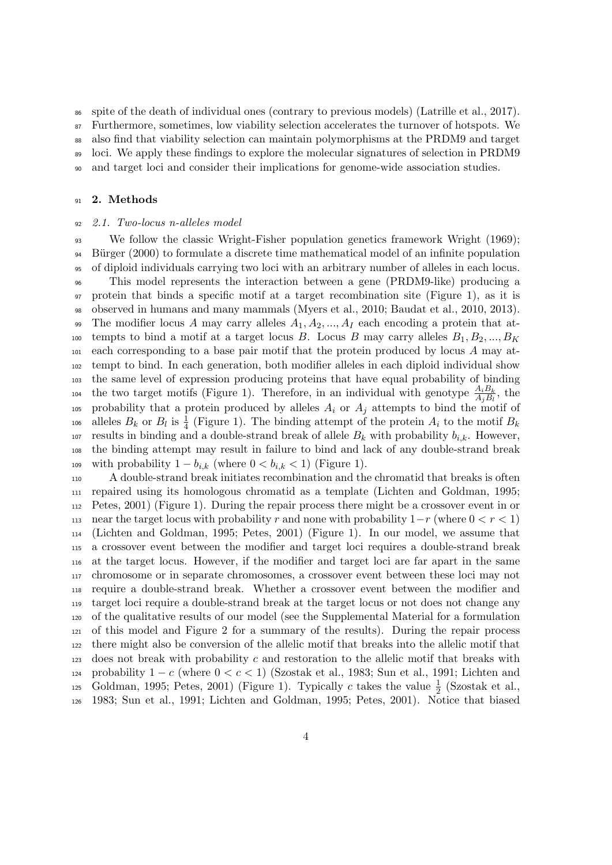spite of the death of individual ones (contrary to previous models) (Latrille et al., 2017). Furthermore, sometimes, low viability selection accelerates the turnover of hotspots. We also find that viability selection can maintain polymorphisms at the PRDM9 and target loci. We apply these findings to explore the molecular signatures of selection in PRDM9

and target loci and consider their implications for genome-wide association studies.

# 91 2. Methods

### 2.1. Two-locus n-alleles model

 We follow the classic Wright-Fisher population genetics framework Wright (1969); B¨urger (2000) to formulate a discrete time mathematical model of an infinite population of diploid individuals carrying two loci with an arbitrary number of alleles in each locus. This model represents the interaction between a gene (PRDM9-like) producing a protein that binds a specific motif at a target recombination site (Figure 1), as it is observed in humans and many mammals (Myers et al., 2010; Baudat et al., 2010, 2013). 99 The modifier locus A may carry alleles  $A_1, A_2, ..., A_I$  each encoding a protein that at-100 tempts to bind a motif at a target locus B. Locus B may carry alleles  $B_1, B_2, ..., B_K$  each corresponding to a base pair motif that the protein produced by locus A may at- tempt to bind. In each generation, both modifier alleles in each diploid individual show the same level of expression producing proteins that have equal probability of binding <sup>104</sup> the two target motifs (Figure 1). Therefore, in an individual with genotype  $\frac{A_i B_k}{A_j B_l}$ , the 105 probability that a protein produced by alleles  $A_i$  or  $A_j$  attempts to bind the motif of <sup>106</sup> alleles  $B_k$  or  $B_l$  is  $\frac{1}{4}$  (Figure 1). The binding attempt of the protein  $A_i$  to the motif  $B_k$ 107 results in binding and a double-strand break of allele  $B_k$  with probability  $b_{i,k}$ . However, the binding attempt may result in failure to bind and lack of any double-strand break 109 with probability  $1 - b_{i,k}$  (where  $0 < b_{i,k} < 1$ ) (Figure 1).

 A double-strand break initiates recombination and the chromatid that breaks is often repaired using its homologous chromatid as a template (Lichten and Goldman, 1995; Petes, 2001) (Figure 1). During the repair process there might be a crossover event in or 113 near the target locus with probability r and none with probability  $1-r$  (where  $0 < r < 1$ ) (Lichten and Goldman, 1995; Petes, 2001) (Figure 1). In our model, we assume that a crossover event between the modifier and target loci requires a double-strand break at the target locus. However, if the modifier and target loci are far apart in the same chromosome or in separate chromosomes, a crossover event between these loci may not require a double-strand break. Whether a crossover event between the modifier and target loci require a double-strand break at the target locus or not does not change any of the qualitative results of our model (see the Supplemental Material for a formulation of this model and Figure 2 for a summary of the results). During the repair process there might also be conversion of the allelic motif that breaks into the allelic motif that does not break with probability c and restoration to the allelic motif that breaks with 124 probability  $1 - c$  (where  $0 < c < 1$ ) (Szostak et al., 1983; Sun et al., 1991; Lichten and 125 Goldman, 1995; Petes, 2001) (Figure 1). Typically c takes the value  $\frac{1}{2}$  (Szostak et al., 1983; Sun et al., 1991; Lichten and Goldman, 1995; Petes, 2001). Notice that biased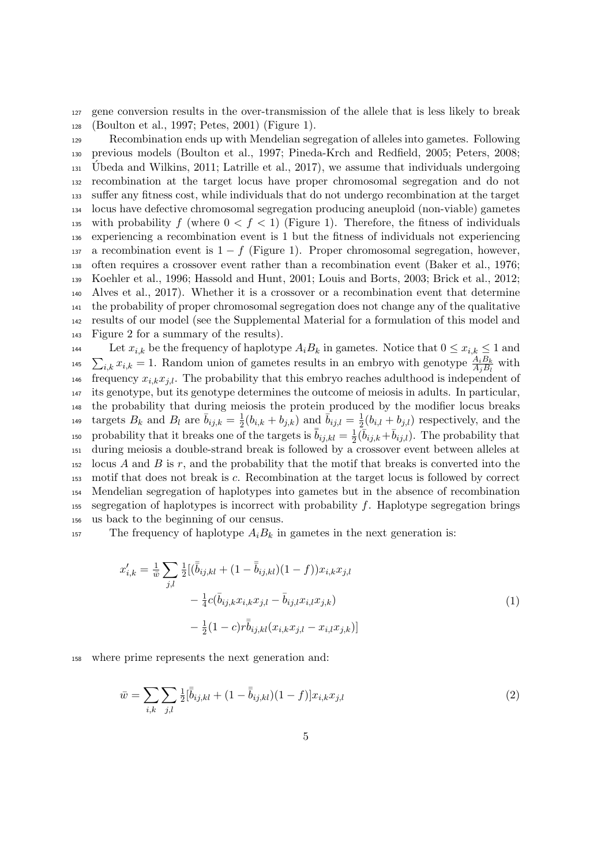<sup>127</sup> gene conversion results in the over-transmission of the allele that is less likely to break <sup>128</sup> (Boulton et al., 1997; Petes, 2001) (Figure 1).

 Recombination ends up with Mendelian segregation of alleles into gametes. Following previous models (Boulton et al., 1997; Pineda-Krch and Redfield, 2005; Peters, 2008;  $_{131}$  Ubeda and Wilkins, 2011; Latrille et al., 2017), we assume that individuals undergoing recombination at the target locus have proper chromosomal segregation and do not suffer any fitness cost, while individuals that do not undergo recombination at the target locus have defective chromosomal segregation producing aneuploid (non-viable) gametes 135 with probability f (where  $0 < f < 1$ ) (Figure 1). Therefore, the fitness of individuals experiencing a recombination event is 1 but the fitness of individuals not experiencing 137 a recombination event is  $1 - f$  (Figure 1). Proper chromosomal segregation, however, often requires a crossover event rather than a recombination event (Baker et al., 1976; Koehler et al., 1996; Hassold and Hunt, 2001; Louis and Borts, 2003; Brick et al., 2012; Alves et al., 2017). Whether it is a crossover or a recombination event that determine the probability of proper chromosomal segregation does not change any of the qualitative results of our model (see the Supplemental Material for a formulation of this model and Figure 2 for a summary of the results).

144 Let  $x_{i,k}$  be the frequency of haplotype  $A_iB_k$  in gametes. Notice that  $0 \le x_{i,k} \le 1$  and <sup>145</sup>  $\sum_{i,k} x_{i,k} = 1$ . Random union of gametes results in an embryo with genotype  $\frac{A_i B_k}{A_j B_l}$  with 146 frequency  $x_{i,k}x_{j,l}$ . The probability that this embryo reaches adulthood is independent of <sup>147</sup> its genotype, but its genotype determines the outcome of meiosis in adults. In particular, <sup>148</sup> the probability that during meiosis the protein produced by the modifier locus breaks targets  $B_k$  and  $B_l$  are  $\bar{b}_{ij,k} = \frac{1}{2}$  $\frac{1}{2}(b_{i,k} + b_{j,k})$  and  $\bar{b}_{ij,l} = \frac{1}{2}$ 149 targets  $B_k$  and  $B_l$  are  $b_{ij,k} = \frac{1}{2}(b_{i,k} + b_{j,k})$  and  $b_{ij,l} = \frac{1}{2}(b_{i,l} + b_{j,l})$  respectively, and the probability that it breaks one of the targets is  $\bar{\bar{b}}_{ij,kl} = \frac{1}{2}$ <sup>150</sup> probability that it breaks one of the targets is  $\bar{\bar{b}}_{ij,kl} = \frac{1}{2}(\bar{b}_{ij,k} + \bar{b}_{ij,l})$ . The probability that <sup>151</sup> during meiosis a double-strand break is followed by a crossover event between alleles at  $152$  locus A and B is r, and the probability that the motif that breaks is converted into the <sup>153</sup> motif that does not break is c. Recombination at the target locus is followed by correct <sup>154</sup> Mendelian segregation of haplotypes into gametes but in the absence of recombination 155 segregation of haplotypes is incorrect with probability  $f$ . Haplotype segregation brings <sup>156</sup> us back to the beginning of our census.

157 The frequency of haplotype  $A_i B_k$  in gametes in the next generation is:

$$
x'_{i,k} = \frac{1}{\bar{w}} \sum_{j,l} \frac{1}{2} [(\bar{b}_{ij,kl} + (1 - \bar{b}_{ij,kl})(1 - f))x_{i,k}x_{j,l} - \frac{1}{4}c(\bar{b}_{ij,k}x_{i,k}x_{j,l} - \bar{b}_{ij,l}x_{i,l}x_{j,k}) - \frac{1}{2}(1 - c)r\bar{b}_{ij,kl}(x_{i,k}x_{j,l} - x_{i,l}x_{j,k})]
$$
(1)

<sup>158</sup> where prime represents the next generation and:

$$
\bar{w} = \sum_{i,k} \sum_{j,l} \frac{1}{2} [\bar{b}_{ij,kl} + (1 - \bar{b}_{ij,kl})(1 - f)] x_{i,k} x_{j,l} \tag{2}
$$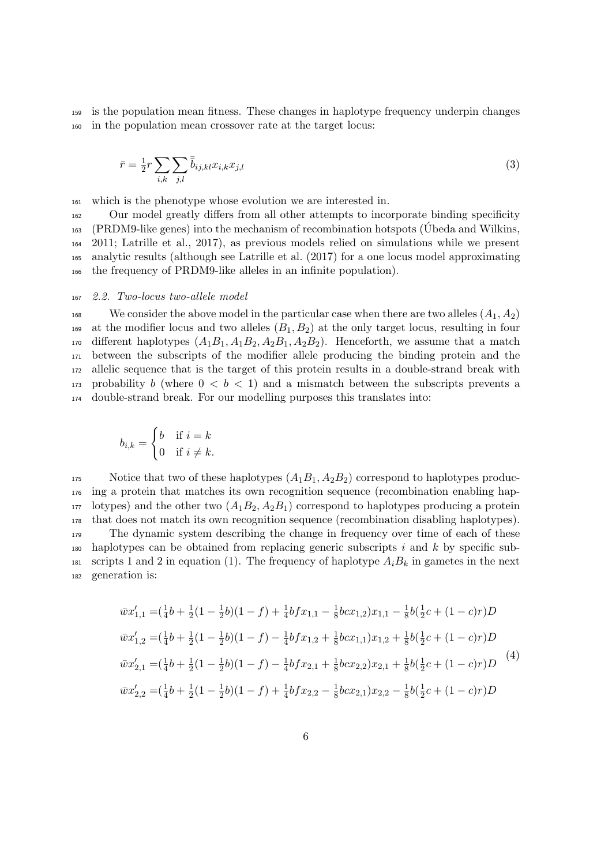is the population mean fitness. These changes in haplotype frequency underpin changes in the population mean crossover rate at the target locus:

$$
\bar{r} = \frac{1}{2}r \sum_{i,k} \sum_{j,l} \bar{\bar{b}}_{ij,kl} x_{i,k} x_{j,l} \tag{3}
$$

which is the phenotype whose evolution we are interested in.

 Our model greatly differs from all other attempts to incorporate binding specificity (PRDM9-like genes) into the mechanism of recombination hotspots (Ubeda and Wilkins, ´ 2011; Latrille et al., 2017), as previous models relied on simulations while we present analytic results (although see Latrille et al. (2017) for a one locus model approximating the frequency of PRDM9-like alleles in an infinite population).

#### 2.2. Two-locus two-allele model

<sup>168</sup> We consider the above model in the particular case when there are two alleles  $(A_1, A_2)$ 169 at the modifier locus and two alleles  $(B_1, B_2)$  at the only target locus, resulting in four 170 different haplotypes  $(A_1B_1, A_1B_2, A_2B_1, A_2B_2)$ . Henceforth, we assume that a match between the subscripts of the modifier allele producing the binding protein and the allelic sequence that is the target of this protein results in a double-strand break with 173 probability b (where  $0 < b < 1$ ) and a mismatch between the subscripts prevents a double-strand break. For our modelling purposes this translates into:

$$
b_{i,k} = \begin{cases} b & \text{if } i = k \\ 0 & \text{if } i \neq k. \end{cases}
$$

175 Notice that two of these haplotypes  $(A_1B_1, A_2B_2)$  correspond to haplotypes produc- ing a protein that matches its own recognition sequence (recombination enabling hap- lotypes) and the other two  $(A_1B_2, A_2B_1)$  correspond to haplotypes producing a protein that does not match its own recognition sequence (recombination disabling haplotypes). The dynamic system describing the change in frequency over time of each of these haplotypes can be obtained from replacing generic subscripts i and k by specific sub-181 scripts 1 and 2 in equation (1). The frequency of haplotype  $A_iB_k$  in gametes in the next generation is:

$$
\bar{w}x'_{1,1} = \left(\frac{1}{4}b + \frac{1}{2}(1 - \frac{1}{2}b)(1 - f) + \frac{1}{4}bfx_{1,1} - \frac{1}{8}bcx_{1,2}\right)x_{1,1} - \frac{1}{8}b\left(\frac{1}{2}c + (1 - c)r\right)D
$$
\n
$$
\bar{w}x'_{1,2} = \left(\frac{1}{4}b + \frac{1}{2}(1 - \frac{1}{2}b)(1 - f) - \frac{1}{4}bfx_{1,2} + \frac{1}{8}bcx_{1,1}\right)x_{1,2} + \frac{1}{8}b\left(\frac{1}{2}c + (1 - c)r\right)D
$$
\n
$$
\bar{w}x'_{2,1} = \left(\frac{1}{4}b + \frac{1}{2}(1 - \frac{1}{2}b)(1 - f) - \frac{1}{4}bfx_{2,1} + \frac{1}{8}bcx_{2,2}\right)x_{2,1} + \frac{1}{8}b\left(\frac{1}{2}c + (1 - c)r\right)D
$$
\n
$$
\bar{w}x'_{2,2} = \left(\frac{1}{4}b + \frac{1}{2}(1 - \frac{1}{2}b)(1 - f) + \frac{1}{4}bfx_{2,2} - \frac{1}{8}bcx_{2,1}\right)x_{2,2} - \frac{1}{8}b\left(\frac{1}{2}c + (1 - c)r\right)D
$$
\n(4)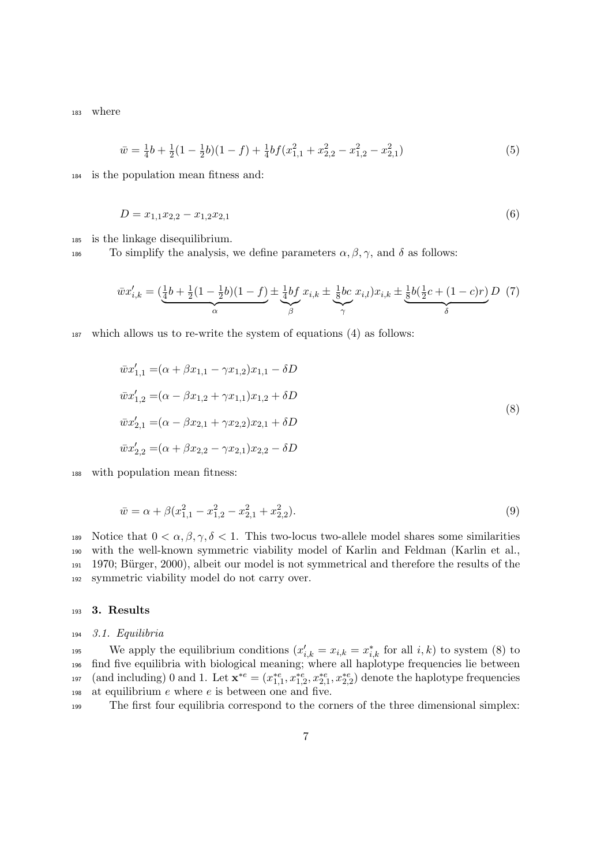<sup>183</sup> where

$$
\bar{w} = \frac{1}{4}b + \frac{1}{2}(1 - \frac{1}{2}b)(1 - f) + \frac{1}{4}bf(x_{1,1}^2 + x_{2,2}^2 - x_{1,2}^2 - x_{2,1}^2)
$$
\n(5)

<sup>184</sup> is the population mean fitness and:

$$
D = x_{1,1}x_{2,2} - x_{1,2}x_{2,1} \tag{6}
$$

<sup>185</sup> is the linkage disequilibrium.

186 To simplify the analysis, we define parameters  $\alpha, \beta, \gamma$ , and  $\delta$  as follows:

$$
\bar{w}x'_{i,k} = \left(\underbrace{\frac{1}{4}b + \frac{1}{2}(1 - \frac{1}{2}b)(1 - f)}{\alpha} \pm \underbrace{\frac{1}{4}bf}{\beta}x_{i,k} \pm \underbrace{\frac{1}{8}bc}_{\gamma}x_{i,l}\right)x_{i,k} \pm \underbrace{\frac{1}{8}b(\frac{1}{2}c + (1 - c)r)}_{\delta}D\tag{7}
$$

<sup>187</sup> which allows us to re-write the system of equations (4) as follows:

$$
\bar{w}x'_{1,1} = (\alpha + \beta x_{1,1} - \gamma x_{1,2})x_{1,1} - \delta D
$$
  
\n
$$
\bar{w}x'_{1,2} = (\alpha - \beta x_{1,2} + \gamma x_{1,1})x_{1,2} + \delta D
$$
  
\n
$$
\bar{w}x'_{2,1} = (\alpha - \beta x_{2,1} + \gamma x_{2,2})x_{2,1} + \delta D
$$
  
\n
$$
\bar{w}x'_{2,2} = (\alpha + \beta x_{2,2} - \gamma x_{2,1})x_{2,2} - \delta D
$$
\n(8)

<sup>188</sup> with population mean fitness:

$$
\bar{w} = \alpha + \beta (x_{1,1}^2 - x_{1,2}^2 - x_{2,1}^2 + x_{2,2}^2). \tag{9}
$$

189 Notice that  $0 < \alpha, \beta, \gamma, \delta < 1$ . This two-locus two-allele model shares some similarities with the well-known symmetric viability model of Karlin and Feldman (Karlin et al., 1970; B¨urger, 2000), albeit our model is not symmetrical and therefore the results of the symmetric viability model do not carry over.

#### <sup>193</sup> 3. Results

## <sup>194</sup> 3.1. Equilibria

195 We apply the equilibrium conditions  $(x'_{i,k} = x_{i,k} = x^*_{i,k}$  for all  $i, k$ ) to system (8) to <sup>196</sup> find five equilibria with biological meaning; where all haplotype frequencies lie between 197 (and including) 0 and 1. Let  $\mathbf{x}^{*e} = (x_{1,1}^{*e}, x_{1,2}^{*e}, x_{2,1}^{*e}, x_{2,2}^{*e})$  denote the haplotype frequencies 198 at equilibrium  $e$  where  $e$  is between one and five.

<sup>199</sup> The first four equilibria correspond to the corners of the three dimensional simplex: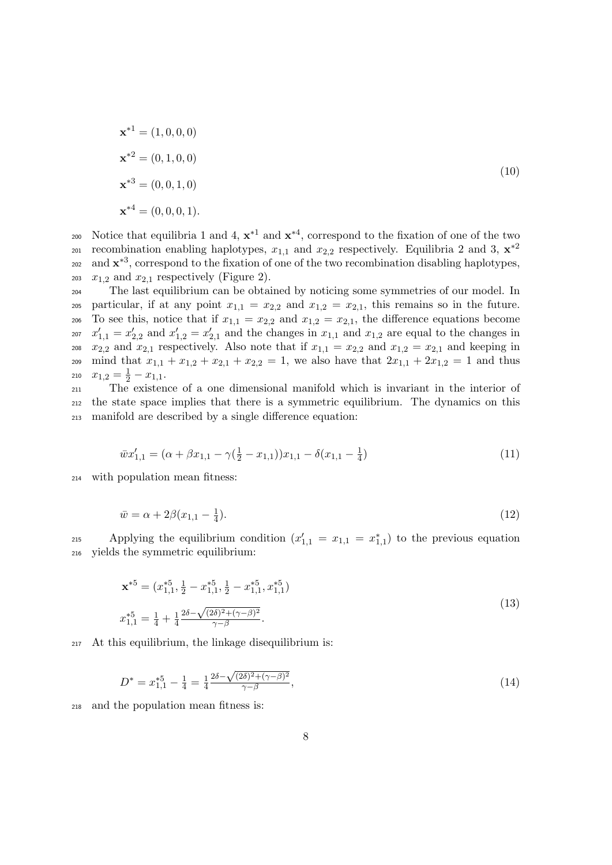$$
\mathbf{x}^{*1} = (1, 0, 0, 0)
$$
  
\n
$$
\mathbf{x}^{*2} = (0, 1, 0, 0)
$$
  
\n
$$
\mathbf{x}^{*3} = (0, 0, 1, 0)
$$
  
\n
$$
\mathbf{x}^{*4} = (0, 0, 0, 1).
$$
  
\n(10)

200 Notice that equilibria 1 and 4,  $\mathbf{x}^{*1}$  and  $\mathbf{x}^{*4}$ , correspond to the fixation of one of the two recombination enabling haplotypes,  $x_{1,1}$  and  $x_{2,2}$  respectively. Equilibria 2 and 3,  $\mathbf{x}^{*2}$ 201  $202$  and  $\mathbf{x}^{*3}$ , correspond to the fixation of one of the two recombination disabling haplotypes, 203  $x_{1,2}$  and  $x_{2,1}$  respectively (Figure 2).

<sup>204</sup> The last equilibrium can be obtained by noticing some symmetries of our model. In 205 particular, if at any point  $x_{1,1} = x_{2,2}$  and  $x_{1,2} = x_{2,1}$ , this remains so in the future. 206 To see this, notice that if  $x_{1,1} = x_{2,2}$  and  $x_{1,2} = x_{2,1}$ , the difference equations become  $x'_{1,1} = x'_{2,2}$  and  $x'_{1,2} = x'_{2,1}$  and the changes in  $x_{1,1}$  and  $x_{1,2}$  are equal to the changes in 208  $x_{2,2}$  and  $x_{2,1}$  respectively. Also note that if  $x_{1,1} = x_{2,2}$  and  $x_{1,2} = x_{2,1}$  and keeping in 209 mind that  $x_{1,1} + x_{1,2} + x_{2,1} + x_{2,2} = 1$ , we also have that  $2x_{1,1} + 2x_{1,2} = 1$  and thus 210  $x_{1,2} = \frac{1}{2} - x_{1,1}.$ 

<sup>211</sup> The existence of a one dimensional manifold which is invariant in the interior of <sup>212</sup> the state space implies that there is a symmetric equilibrium. The dynamics on this <sup>213</sup> manifold are described by a single difference equation:

$$
\bar{w}x_{1,1}^{\prime} = (\alpha + \beta x_{1,1} - \gamma(\frac{1}{2} - x_{1,1}))x_{1,1} - \delta(x_{1,1} - \frac{1}{4})
$$
\n(11)

<sup>214</sup> with population mean fitness:

$$
\bar{w} = \alpha + 2\beta (x_{1,1} - \frac{1}{4}). \tag{12}
$$

215 Applying the equilibrium condition  $(x'_{1,1} = x_{1,1} = x^*_{1,1})$  to the previous equation <sup>216</sup> yields the symmetric equilibrium:

$$
\mathbf{x}^{*5} = (x_{1,1}^{*5}, \frac{1}{2} - x_{1,1}^{*5}, \frac{1}{2} - x_{1,1}^{*5}, x_{1,1}^{*5})
$$
  

$$
x_{1,1}^{*5} = \frac{1}{4} + \frac{1}{4} \frac{2\delta - \sqrt{(2\delta)^2 + (\gamma - \beta)^2}}{\gamma - \beta}.
$$
 (13)

<sup>217</sup> At this equilibrium, the linkage disequilibrium is:

$$
D^* = x_{1,1}^{*5} - \frac{1}{4} = \frac{1}{4} \frac{2\delta - \sqrt{(2\delta)^2 + (\gamma - \beta)^2}}{\gamma - \beta},\tag{14}
$$

<sup>218</sup> and the population mean fitness is: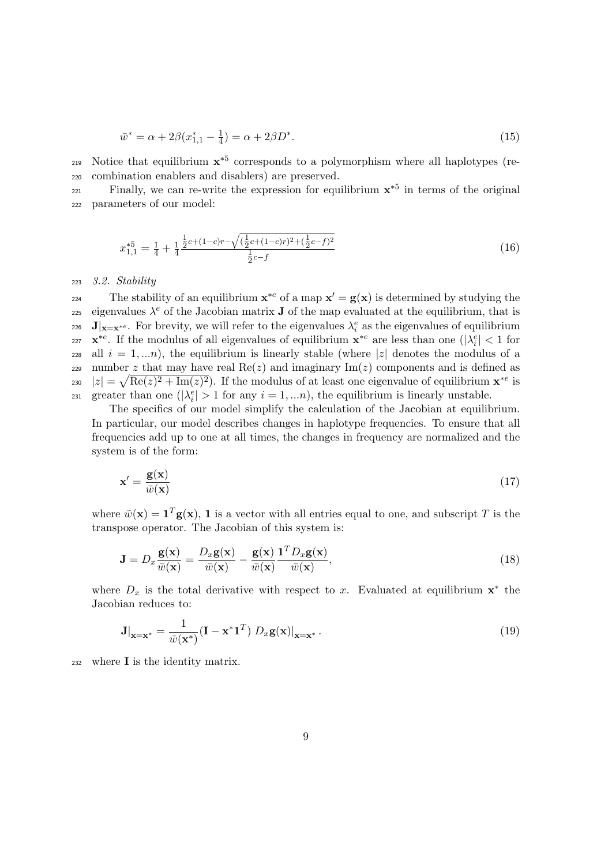$$
\bar{w}^* = \alpha + 2\beta(x_{1,1}^* - \frac{1}{4}) = \alpha + 2\beta D^*.
$$
\n(15)

219 Notice that equilibrium  $x^{*5}$  corresponds to a polymorphism where all haplotypes (re-<sup>220</sup> combination enablers and disablers) are preserved.

 $_{221}$  Finally, we can re-write the expression for equilibrium  $x^{*5}$  in terms of the original <sup>222</sup> parameters of our model:

$$
x_{1,1}^{*5} = \frac{1}{4} + \frac{1}{4} \frac{\frac{1}{2}c + (1-c)r - \sqrt{(\frac{1}{2}c + (1-c)r)^2 + (\frac{1}{2}c - f)^2}}{\frac{1}{2}c - f}
$$
\n(16)

<sup>223</sup> 3.2. Stability

224 The stability of an equilibrium  $\mathbf{x}^*e$  of a map  $\mathbf{x}' = \mathbf{g}(\mathbf{x})$  is determined by studying the eigenvalues  $\lambda^e$  of the Jacobian matrix **J** of the map evaluated at the equilibrium, that is 226 **J**<sub>|x=x<sup>\*e</sup>. For brevity, we will refer to the eigenvalues  $\lambda_i^e$  as the eigenvalues of equilibrium</sub> <sup>227</sup> **x**<sup>\*e</sup>. If the modulus of all eigenvalues of equilibrium  $\mathbf{x}^{*e}$  are less than one ( $|\lambda_i^e|$  < 1 for 228 all  $i = 1,...n$ , the equilibrium is linearly stable (where |z| denotes the modulus of a 229 number z that may have real Re(z) and imaginary  $\text{Im}(z)$  components and is defined as 230  $|z| = \sqrt{\text{Re}(z)^2 + \text{Im}(z)^2}$ . If the modulus of at least one eigenvalue of equilibrium  $\mathbf{x}^{*e}$  is 231 greater than one  $(|\lambda_i^e| > 1$  for any  $i = 1, ...n$ , the equilibrium is linearly unstable.

The specifics of our model simplify the calculation of the Jacobian at equilibrium. In particular, our model describes changes in haplotype frequencies. To ensure that all frequencies add up to one at all times, the changes in frequency are normalized and the system is of the form:

$$
\mathbf{x}' = \frac{\mathbf{g}(\mathbf{x})}{\bar{w}(\mathbf{x})} \tag{17}
$$

where  $\bar{w}(\mathbf{x}) = \mathbf{1}^T \mathbf{g}(\mathbf{x})$ , 1 is a vector with all entries equal to one, and subscript T is the transpose operator. The Jacobian of this system is:

$$
\mathbf{J} = D_x \frac{\mathbf{g}(\mathbf{x})}{\bar{w}(\mathbf{x})} = \frac{D_x \mathbf{g}(\mathbf{x})}{\bar{w}(\mathbf{x})} - \frac{\mathbf{g}(\mathbf{x})}{\bar{w}(\mathbf{x})} \frac{\mathbf{1}^T D_x \mathbf{g}(\mathbf{x})}{\bar{w}(\mathbf{x})},\tag{18}
$$

where  $D_x$  is the total derivative with respect to x. Evaluated at equilibrium  $\mathbf{x}^*$  the Jacobian reduces to:

$$
\mathbf{J}\big|_{\mathbf{x}=\mathbf{x}^*} = \frac{1}{\bar{w}(\mathbf{x}^*)} (\mathbf{I} - \mathbf{x}^* \mathbf{1}^T) D_x \mathbf{g}(\mathbf{x})\big|_{\mathbf{x}=\mathbf{x}^*}.
$$
 (19)

<sup>232</sup> where I is the identity matrix.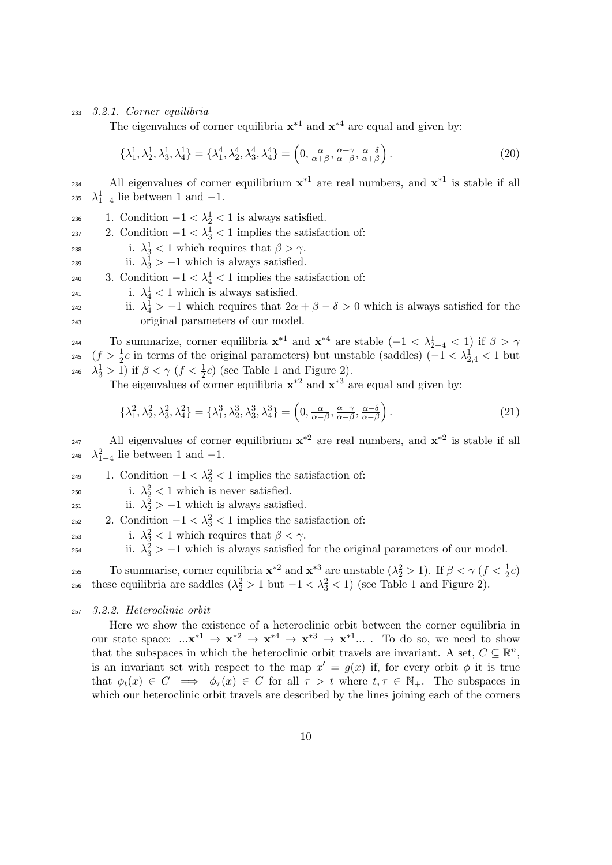## <sup>233</sup> 3.2.1. Corner equilibria

The eigenvalues of corner equilibria  $x^{*1}$  and  $x^{*4}$  are equal and given by:

$$
\{\lambda_1^1, \lambda_2^1, \lambda_3^1, \lambda_4^1\} = \{\lambda_1^4, \lambda_2^4, \lambda_3^4, \lambda_4^4\} = \left(0, \frac{\alpha}{\alpha + \beta}, \frac{\alpha + \gamma}{\alpha + \beta}, \frac{\alpha - \delta}{\alpha + \beta}\right). \tag{20}
$$

234 All eigenvalues of corner equilibrium  $x^{*1}$  are real numbers, and  $x^{*1}$  is stable if all <sup>235</sup>  $\lambda_{1-4}^1$  lie between 1 and -1.

236 1. Condition  $-1 < \lambda_2^1 < 1$  is always satisfied.

237 2. Condition  $-1 < \lambda_3^1 < 1$  implies the satisfaction of:

238 i.  $\lambda_3^1 < 1$  which requires that  $\beta > \gamma$ . <sup>239</sup> ii.  $\lambda_3^1 > -1$  which is always satisfied.

240 3. Condition  $-1 < \lambda_4^1 < 1$  implies the satisfaction of:

<sup>241</sup> i.  $\lambda_4^1 < 1$  which is always satisfied.

<sup>242</sup> ii.  $\lambda_4^1 > -1$  which requires that  $2\alpha + \beta - \delta > 0$  which is always satisfied for the <sup>243</sup> original parameters of our model.

<sup>244</sup> To summarize, corner equilibria  $\mathbf{x}^{*1}$  and  $\mathbf{x}^{*4}$  are stable  $(-1 < \lambda_{2-4}^1 < 1)$  if  $\beta > \gamma$ <sup>245</sup>  $(f > \frac{1}{2}c$  in terms of the original parameters) but unstable (saddles)  $(-1 < \lambda_{2,4}^1 < 1$  but 246  $\lambda_3^1 > 1$ ) if  $\beta < \gamma$   $(f < \frac{1}{2}c)$  (see Table 1 and Figure 2).

The eigenvalues of corner equilibria  $x^{*2}$  and  $x^{*3}$  are equal and given by:

$$
\{\lambda_1^2, \lambda_2^2, \lambda_3^2, \lambda_4^2\} = \{\lambda_1^3, \lambda_2^3, \lambda_3^3, \lambda_4^3\} = \left(0, \frac{\alpha}{\alpha - \beta}, \frac{\alpha - \gamma}{\alpha - \beta}, \frac{\alpha - \delta}{\alpha - \beta}\right). \tag{21}
$$

247 All eigenvalues of corner equilibrium  $x^{2}$  are real numbers, and  $x^{2}$  is stable if all <sup>248</sup>  $\lambda_{1-4}^2$  lie between 1 and -1.

249 1. Condition  $-1 < \lambda_2^2 < 1$  implies the satisfaction of:

<sup>250</sup> i.  $\lambda_2^2 < 1$  which is never satisfied.

<sup>251</sup> ii.  $\lambda_2^2 > -1$  which is always satisfied.

252 2. Condition  $-1 < \lambda_3^2 < 1$  implies the satisfaction of:

<sup>253</sup> i.  $\lambda_3^2 < 1$  which requires that  $\beta < \gamma$ .

<sup>254</sup> ii.  $\lambda_3^2 > -1$  which is always satisfied for the original parameters of our model.

To summarise, corner equilibria  $x^{*2}$  and  $x^{*3}$  are unstable  $(\lambda_2^2 > 1)$ . If  $\beta < \gamma$   $(f < \frac{1}{2}c)$ <sup>256</sup> these equilibria are saddles  $(\lambda_2^2 > 1$  but  $-1 < \lambda_3^2 < 1$ ) (see Table 1 and Figure 2).

<sup>257</sup> 3.2.2. Heteroclinic orbit

Here we show the existence of a heteroclinic orbit between the corner equilibria in our state space:  $\ldots x^{*1} \to x^{*2} \to x^{*4} \to x^{*3} \to x^{*1} \ldots$  To do so, we need to show that the subspaces in which the heteroclinic orbit travels are invariant. A set,  $C \subseteq \mathbb{R}^n$ , is an invariant set with respect to the map  $x' = g(x)$  if, for every orbit  $\phi$  it is true that  $\phi_t(x) \in C \implies \phi_\tau(x) \in C$  for all  $\tau > t$  where  $t, \tau \in \mathbb{N}_+$ . The subspaces in which our heteroclinic orbit travels are described by the lines joining each of the corners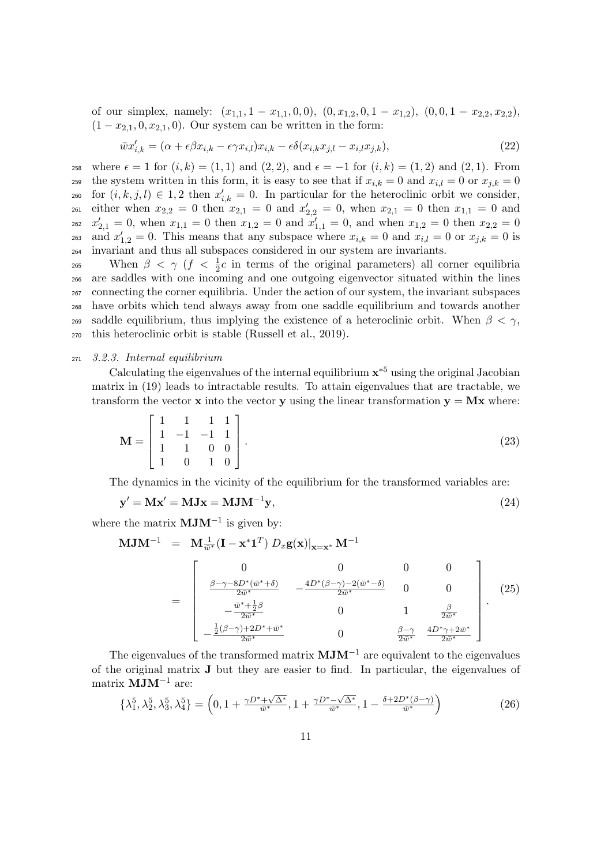of our simplex, namely:  $(x_{1,1}, 1 - x_{1,1}, 0, 0), (0, x_{1,2}, 0, 1 - x_{1,2}), (0, 0, 1 - x_{2,2}, x_{2,2}),$  $(1 - x_{2,1}, 0, x_{2,1}, 0)$ . Our system can be written in the form:

$$
\bar{w}x'_{i,k} = (\alpha + \epsilon \beta x_{i,k} - \epsilon \gamma x_{i,l})x_{i,k} - \epsilon \delta(x_{i,k}x_{j,l} - x_{i,l}x_{j,k}),
$$
\n(22)

258 where  $\epsilon = 1$  for  $(i, k) = (1, 1)$  and  $(2, 2)$ , and  $\epsilon = -1$  for  $(i, k) = (1, 2)$  and  $(2, 1)$ . From 259 the system written in this form, it is easy to see that if  $x_{i,k} = 0$  and  $x_{i,l} = 0$  or  $x_{j,k} = 0$ 260 for  $(i, k, j, l) \in 1, 2$  then  $x'_{i,k} = 0$ . In particular for the heteroclinic orbit we consider, 261 either when  $x_{2,2} = 0$  then  $x_{2,1} = 0$  and  $x'_{2,2} = 0$ , when  $x_{2,1} = 0$  then  $x_{1,1} = 0$  and 262  $x'_{2,1} = 0$ , when  $x_{1,1} = 0$  then  $x_{1,2} = 0$  and  $x'_{1,1} = 0$ , and when  $x_{1,2} = 0$  then  $x_{2,2} = 0$ 263 and  $x'_{1,2} = 0$ . This means that any subspace where  $x_{i,k} = 0$  and  $x_{i,l} = 0$  or  $x_{j,k} = 0$  is <sup>264</sup> invariant and thus all subspaces considered in our system are invariants.

265 When  $\beta < \gamma$  ( $f < \frac{1}{2}c$  in terms of the original parameters) all corner equilibria are saddles with one incoming and one outgoing eigenvector situated within the lines connecting the corner equilibria. Under the action of our system, the invariant subspaces have orbits which tend always away from one saddle equilibrium and towards another 269 saddle equilibrium, thus implying the existence of a heteroclinic orbit. When  $\beta < \gamma$ , this heteroclinic orbit is stable (Russell et al., 2019).

# <sup>271</sup> 3.2.3. Internal equilibrium

Calculating the eigenvalues of the internal equilibrium  $x^{*5}$  using the original Jacobian matrix in (19) leads to intractable results. To attain eigenvalues that are tractable, we transform the vector **x** into the vector **y** using the linear transformation  $y = Mx$  where:

$$
\mathbf{M} = \begin{bmatrix} 1 & 1 & 1 & 1 \\ 1 & -1 & -1 & 1 \\ 1 & 1 & 0 & 0 \\ 1 & 0 & 1 & 0 \end{bmatrix} .
$$
 (23)

The dynamics in the vicinity of the equilibrium for the transformed variables are:

$$
\mathbf{y}' = \mathbf{M}\mathbf{x}' = \mathbf{M}\mathbf{J}\mathbf{x} = \mathbf{M}\mathbf{J}\mathbf{M}^{-1}\mathbf{y},\tag{24}
$$

where the matrix  $\text{MJM}^{-1}$  is given by:

$$
\mathbf{M}\mathbf{J}\mathbf{M}^{-1} = \mathbf{M}\frac{1}{\bar{w}^*}(\mathbf{I} - \mathbf{x}^*\mathbf{1}^T) D_x\mathbf{g}(\mathbf{x})|_{\mathbf{x}=\mathbf{x}^*}\mathbf{M}^{-1}
$$
  
\n
$$
= \begin{bmatrix}\n0 & 0 & 0 & 0 \\
\frac{\beta-\gamma-8D^*(\bar{w}^*+\delta)}{2\bar{w}^*} & -\frac{4D^*(\beta-\gamma)-2(\bar{w}^*-\delta)}{2\bar{w}^*} & 0 & 0 \\
-\frac{\bar{w}^*+\frac{1}{2}\beta}{2\bar{w}^*} & 0 & 1 & \frac{\beta}{2\bar{w}^*} \\
-\frac{\frac{1}{2}(\beta-\gamma)+2D^*+\bar{w}^*}{2\bar{w}^*} & 0 & \frac{\beta-\gamma}{2\bar{w}^*} & \frac{4D^*\gamma+2\bar{w}^*}{2\bar{w}^*}\n\end{bmatrix}.
$$
\n(25)

The eigenvalues of the transformed matrix  $\text{MJM}^{-1}$  are equivalent to the eigenvalues of the original matrix J but they are easier to find. In particular, the eigenvalues of matrix  $\mathbf{MJM}^{-1}$  are:

$$
\{\lambda_1^5, \lambda_2^5, \lambda_3^5, \lambda_4^5\} = \left(0, 1 + \frac{\gamma D^* + \sqrt{\Delta^*}}{\bar{w}^*}, 1 + \frac{\gamma D^* - \sqrt{\Delta^*}}{\bar{w}^*}, 1 - \frac{\delta + 2D^*(\beta - \gamma)}{\bar{w}^*}\right)
$$
(26)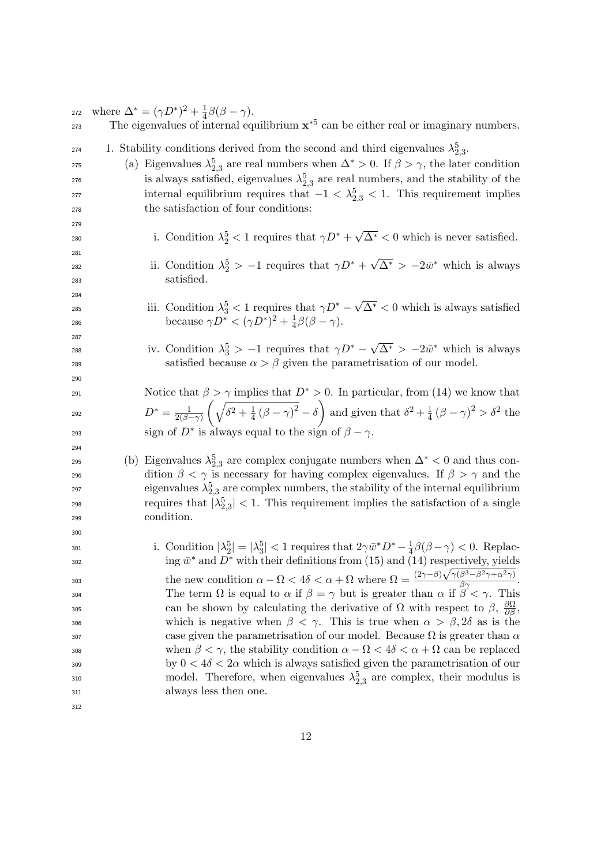| 272<br>273 | where $\Delta^* = (\gamma D^*)^2 + \frac{1}{4}\beta(\beta - \gamma)$ .<br>The eigenvalues of internal equilibrium $x^{*5}$ can be either real or imaginary numbers.                                                                                                                                                                               |
|------------|---------------------------------------------------------------------------------------------------------------------------------------------------------------------------------------------------------------------------------------------------------------------------------------------------------------------------------------------------|
| 274        | 1. Stability conditions derived from the second and third eigenvalues $\lambda_{2,3}^5$ .                                                                                                                                                                                                                                                         |
| 275        | (a) Eigenvalues $\lambda_{2,3}^5$ are real numbers when $\Delta^* > 0$ . If $\beta > \gamma$ , the later condition                                                                                                                                                                                                                                |
| 276        | is always satisfied, eigenvalues $\lambda_{2,3}^5$ are real numbers, and the stability of the                                                                                                                                                                                                                                                     |
| 277        | internal equilibrium requires that $-1 < \lambda_{2,3}^5 < 1$ . This requirement implies                                                                                                                                                                                                                                                          |
| 278        | the satisfaction of four conditions:                                                                                                                                                                                                                                                                                                              |
| 279        |                                                                                                                                                                                                                                                                                                                                                   |
| 280        | i. Condition $\lambda_2^5$ < 1 requires that $\gamma D^* + \sqrt{\Delta^*}$ < 0 which is never satisfied.                                                                                                                                                                                                                                         |
| 281        |                                                                                                                                                                                                                                                                                                                                                   |
| 282<br>283 | ii. Condition $\lambda_2^5 > -1$ requires that $\gamma D^* + \sqrt{\Delta^*} > -2\bar{w}^*$ which is always<br>satisfied.                                                                                                                                                                                                                         |
|            |                                                                                                                                                                                                                                                                                                                                                   |
| 284<br>285 | iii. Condition $\lambda_3^5$ < 1 requires that $\gamma D^* - \sqrt{\Delta^*}$ < 0 which is always satisfied                                                                                                                                                                                                                                       |
| 286        | because $\gamma D^* < (\gamma D^*)^2 + \frac{1}{4}\beta(\beta - \gamma)$ .                                                                                                                                                                                                                                                                        |
| 287        |                                                                                                                                                                                                                                                                                                                                                   |
| 288        | iv. Condition $\lambda_3^5 > -1$ requires that $\gamma D^* - \sqrt{\Delta^*} > -2\bar{w}^*$ which is always                                                                                                                                                                                                                                       |
| 289        | satisfied because $\alpha > \beta$ given the parametrisation of our model.                                                                                                                                                                                                                                                                        |
| 290        |                                                                                                                                                                                                                                                                                                                                                   |
| 291        | Notice that $\beta > \gamma$ implies that $D^* > 0$ . In particular, from (14) we know that                                                                                                                                                                                                                                                       |
| 292        | $D^* = \frac{1}{2(\beta - \gamma)} \left( \sqrt{\delta^2 + \frac{1}{4} (\beta - \gamma)^2} - \delta \right)$ and given that $\delta^2 + \frac{1}{4} (\beta - \gamma)^2 > \delta^2$ the                                                                                                                                                            |
| 293        | sign of $D^*$ is always equal to the sign of $\beta - \gamma$ .                                                                                                                                                                                                                                                                                   |
| 294        |                                                                                                                                                                                                                                                                                                                                                   |
| 295        | (b) Eigenvalues $\lambda_{2,3}^5$ are complex conjugate numbers when $\Delta^*$ < 0 and thus con-                                                                                                                                                                                                                                                 |
| 296        | dition $\beta < \gamma$ is necessary for having complex eigenvalues. If $\beta > \gamma$ and the                                                                                                                                                                                                                                                  |
| 297        | eigenvalues $\lambda_{2,3}^5$ are complex numbers, the stability of the internal equilibrium                                                                                                                                                                                                                                                      |
| 298        | requires that $ \lambda_{2,3}^5 $ < 1. This requirement implies the satisfaction of a single                                                                                                                                                                                                                                                      |
| 299        | condition.                                                                                                                                                                                                                                                                                                                                        |
| 300        |                                                                                                                                                                                                                                                                                                                                                   |
| 301        | i. Condition $ \lambda_2^5  =  \lambda_3^5  < 1$ requires that $2\gamma \bar{w}^* D^* - \frac{1}{4}\beta(\beta - \gamma) < 0$ . Replac-                                                                                                                                                                                                           |
| 302        | ing $\bar{w}^*$ and $\bar{D}^*$ with their definitions from (15) and (14) respectively, yields<br>the new condition $\alpha - \Omega < 4\delta < \alpha + \Omega$ where $\Omega = \frac{(2\gamma - \beta)\sqrt{\gamma(\beta^3 - \beta^2\gamma + \alpha^2\gamma)}}{\beta\gamma}$ .<br>The term $\Omega$ is equal to $\alpha$ if $\beta = \gamma$ b |
| 303        |                                                                                                                                                                                                                                                                                                                                                   |
| 304        |                                                                                                                                                                                                                                                                                                                                                   |
| 305        | can be shown by calculating the derivative of $\Omega$ with respect to $\beta$ , $\frac{\partial \Omega}{\partial \beta}$ ,                                                                                                                                                                                                                       |
| 306        | which is negative when $\beta < \gamma$ . This is true when $\alpha > \beta$ , $2\delta$ as is the                                                                                                                                                                                                                                                |
| 307        | case given the parametrisation of our model. Because $\Omega$ is greater than $\alpha$                                                                                                                                                                                                                                                            |
| 308        | when $\beta < \gamma$ , the stability condition $\alpha - \Omega < 4\delta < \alpha + \Omega$ can be replaced                                                                                                                                                                                                                                     |
| 309        | by $0 < 4\delta < 2\alpha$ which is always satisfied given the parametrisation of our                                                                                                                                                                                                                                                             |
| 310        | model. Therefore, when eigenvalues $\lambda_{2,3}^5$ are complex, their modulus is                                                                                                                                                                                                                                                                |
| 311        | always less then one.                                                                                                                                                                                                                                                                                                                             |
| 312        |                                                                                                                                                                                                                                                                                                                                                   |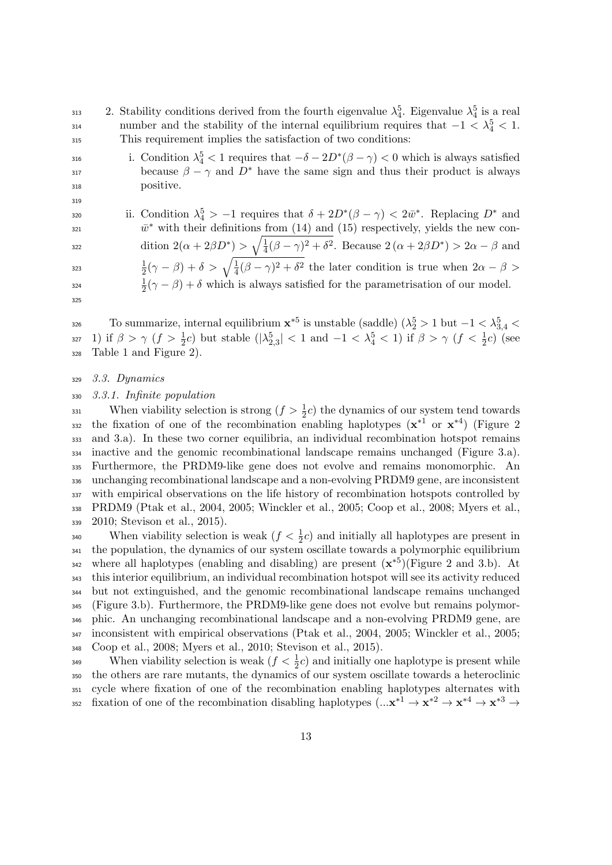313 2. Stability conditions derived from the fourth eigenvalue  $\lambda_4^5$ . Eigenvalue  $\lambda_4^5$  is a real number and the stability of the internal equilibrium requires that  $-1 < \lambda_4^5 < 1$ . <sup>315</sup> This requirement implies the satisfaction of two conditions:

- 316 i. Condition  $\lambda_4^5 < 1$  requires that  $-\delta 2D^*(\beta \gamma) < 0$  which is always satisfied  $\beta$  =  $\gamma$  and D<sup>\*</sup> have the same sign and thus their product is always <sup>318</sup> positive.
- 319

320 ii. Condition  $\lambda_4^5 > -1$  requires that  $\delta + 2D^*(\beta - \gamma) < 2\bar{w}^*$ . Replacing  $D^*$  and  $\bar{w}^*$  with their definitions from (14) and (15) respectively, yields the new condition  $2(\alpha + 2\beta D^*) > \sqrt{\frac{1}{4}}$ 322 dition  $2(\alpha + 2\beta D^*) > \sqrt{\frac{1}{4}(\beta - \gamma)^2 + \delta^2}$ . Because  $2(\alpha + 2\beta D^*) > 2\alpha - \beta$  and 1  $\frac{1}{2}(\gamma - \beta) + \delta > \sqrt{\frac{1}{4}}$ <sup>323</sup>  $\frac{1}{2}(\gamma - \beta) + \delta > \sqrt{\frac{1}{4}(\beta - \gamma)^2 + \delta^2}$  the later condition is true when  $2\alpha - \beta >$ 1 <sup>324</sup>  $\frac{1}{2}(\gamma - \beta) + \delta$  which is always satisfied for the parametrisation of our model.

325

 $\text{To summarize, internal equilibrium } \mathbf{x}^{*5} \text{ is unstable (saddle) } (\lambda_2^5 > 1 \text{ but } -1 < \lambda_{3,4}^5 <$ 327 1) if  $\beta > \gamma$   $(f > \frac{1}{2}c)$  but stable  $(|\lambda_{2,3}^5| < 1$  and  $-1 < \lambda_4^5 < 1$ ) if  $\beta > \gamma$   $(f < \frac{1}{2}c)$  (see <sup>328</sup> Table 1 and Figure 2).

<sup>329</sup> 3.3. Dynamics

<sup>330</sup> 3.3.1. Infinite population

331 When viability selection is strong  $(f > \frac{1}{2}c)$  the dynamics of our system tend towards when viability selection is strong  $(f \ge \frac{1}{2}c)$  the dynamics of our system tend towards<br>332 the fixation of one of the recombination enabling haplotypes  $(\mathbf{x}^{*1}$  or  $\mathbf{x}^{*4})$  (Figure 2 and 3.a). In these two corner equilibria, an individual recombination hotspot remains inactive and the genomic recombinational landscape remains unchanged (Figure 3.a). Furthermore, the PRDM9-like gene does not evolve and remains monomorphic. An unchanging recombinational landscape and a non-evolving PRDM9 gene, are inconsistent with empirical observations on the life history of recombination hotspots controlled by PRDM9 (Ptak et al., 2004, 2005; Winckler et al., 2005; Coop et al., 2008; Myers et al., 2010; Stevison et al., 2015).

340 When viability selection is weak  $(f < \frac{1}{2}c)$  and initially all haplotypes are present in the population, the dynamics of our system oscillate towards a polymorphic equilibrium  $_{342}$  where all haplotypes (enabling and disabling) are present  $(x^{*5})$ (Figure 2 and 3.b). At this interior equilibrium, an individual recombination hotspot will see its activity reduced but not extinguished, and the genomic recombinational landscape remains unchanged (Figure 3.b). Furthermore, the PRDM9-like gene does not evolve but remains polymor- phic. An unchanging recombinational landscape and a non-evolving PRDM9 gene, are inconsistent with empirical observations (Ptak et al., 2004, 2005; Winckler et al., 2005; Coop et al., 2008; Myers et al., 2010; Stevison et al., 2015).

349 When viability selection is weak  $(f < \frac{1}{2}c)$  and initially one haplotype is present while <sup>350</sup> the others are rare mutants, the dynamics of our system oscillate towards a heteroclinic <sup>351</sup> cycle where fixation of one of the recombination enabling haplotypes alternates with <sup>352</sup> fixation of one of the recombination disabling haplotypes  $(\dots x^{*1} \to x^{*2} \to x^{*4} \to x^{*3} \to x^{*4} \to x^{*5} \to x^{*5} \to x^{*5} \to x^{*5} \to x^{*5} \to x^{*5} \to x^{*5} \to x^{*5} \to x^{*5} \to x^{*5} \to x^{*5} \to x^{*5} \to x^{*5} \to x^{*5} \to x^{*5} \to x^{*5} \to x^{*5} \to$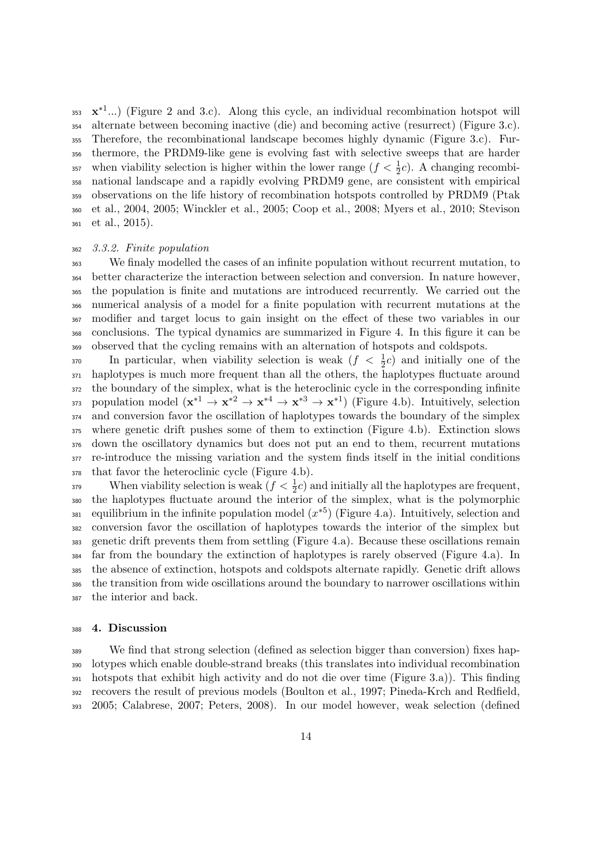$\mathbf{x}^{*1}$ ...) (Figure 2 and 3.c). Along this cycle, an individual recombination hotspot will alternate between becoming inactive (die) and becoming active (resurrect) (Figure 3.c). Therefore, the recombinational landscape becomes highly dynamic (Figure 3.c). Fur- thermore, the PRDM9-like gene is evolving fast with selective sweeps that are harder 357 when viability selection is higher within the lower range  $(f < \frac{1}{2}c)$ . A changing recombi- national landscape and a rapidly evolving PRDM9 gene, are consistent with empirical observations on the life history of recombination hotspots controlled by PRDM9 (Ptak et al., 2004, 2005; Winckler et al., 2005; Coop et al., 2008; Myers et al., 2010; Stevison et al., 2015).

#### 3.3.2. Finite population

 We finaly modelled the cases of an infinite population without recurrent mutation, to better characterize the interaction between selection and conversion. In nature however, the population is finite and mutations are introduced recurrently. We carried out the numerical analysis of a model for a finite population with recurrent mutations at the modifier and target locus to gain insight on the effect of these two variables in our conclusions. The typical dynamics are summarized in Figure 4. In this figure it can be observed that the cycling remains with an alternation of hotspots and coldspots.

 $\frac{1}{2}$  In particular, when viability selection is weak  $(f < \frac{1}{2}c)$  and initially one of the haplotypes is much more frequent than all the others, the haplotypes fluctuate around the boundary of the simplex, what is the heteroclinic cycle in the corresponding infinite 373 population model  $(\mathbf{x}^{*1} \to \mathbf{x}^{*2} \to \mathbf{x}^{*4} \to \mathbf{x}^{*3} \to \mathbf{x}^{*1})$  (Figure 4.b). Intuitively, selection and conversion favor the oscillation of haplotypes towards the boundary of the simplex where genetic drift pushes some of them to extinction (Figure 4.b). Extinction slows down the oscillatory dynamics but does not put an end to them, recurrent mutations re-introduce the missing variation and the system finds itself in the initial conditions that favor the heteroclinic cycle (Figure 4.b).

379 When viability selection is weak  $(f < \frac{1}{2}c)$  and initially all the haplotypes are frequent, the haplotypes fluctuate around the interior of the simplex, what is the polymorphic  $_{381}$  equilibrium in the infinite population model  $(x^{*5})$  (Figure 4.a). Intuitively, selection and conversion favor the oscillation of haplotypes towards the interior of the simplex but genetic drift prevents them from settling (Figure 4.a). Because these oscillations remain far from the boundary the extinction of haplotypes is rarely observed (Figure 4.a). In the absence of extinction, hotspots and coldspots alternate rapidly. Genetic drift allows the transition from wide oscillations around the boundary to narrower oscillations within the interior and back.

#### 4. Discussion

 We find that strong selection (defined as selection bigger than conversion) fixes hap- lotypes which enable double-strand breaks (this translates into individual recombination hotspots that exhibit high activity and do not die over time (Figure 3.a)). This finding recovers the result of previous models (Boulton et al., 1997; Pineda-Krch and Redfield, 2005; Calabrese, 2007; Peters, 2008). In our model however, weak selection (defined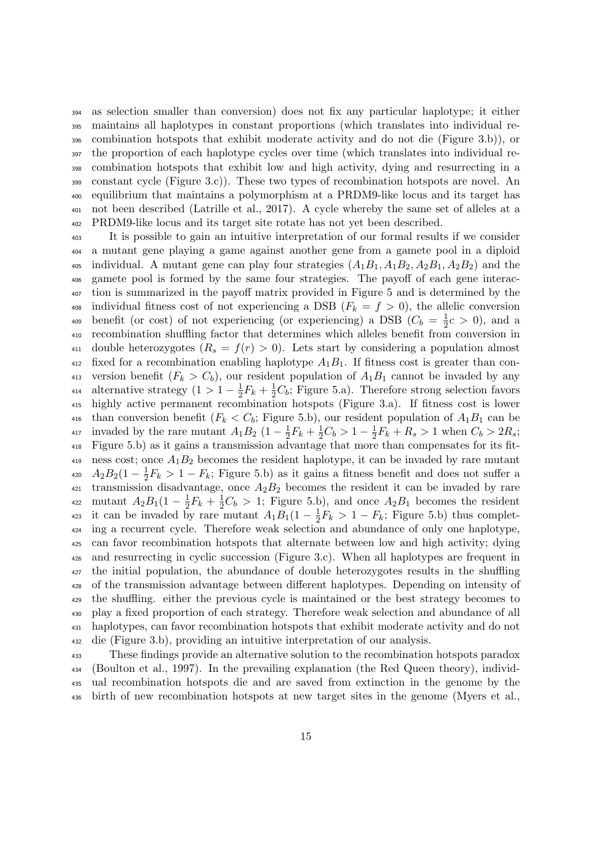as selection smaller than conversion) does not fix any particular haplotype; it either maintains all haplotypes in constant proportions (which translates into individual re- combination hotspots that exhibit moderate activity and do not die (Figure 3.b)), or the proportion of each haplotype cycles over time (which translates into individual re- combination hotspots that exhibit low and high activity, dying and resurrecting in a constant cycle (Figure 3.c)). These two types of recombination hotspots are novel. An equilibrium that maintains a polymorphism at a PRDM9-like locus and its target has not been described (Latrille et al., 2017). A cycle whereby the same set of alleles at a PRDM9-like locus and its target site rotate has not yet been described.

 It is possible to gain an intuitive interpretation of our formal results if we consider a mutant gene playing a game against another gene from a gamete pool in a diploid 405 individual. A mutant gene can play four strategies  $(A_1B_1, A_1B_2, A_2B_1, A_2B_2)$  and the gamete pool is formed by the same four strategies. The payoff of each gene interac- tion is summarized in the payoff matrix provided in Figure 5 and is determined by the 408 individual fitness cost of not experiencing a DSB  $(F_k = f > 0)$ , the allelic conversion benefit (or cost) of not experiencing (or experiencing) a DSB  $(C_b = \frac{1}{2})$ 409 benefit (or cost) of not experiencing (or experiencing) a DSB  $(C_b = \frac{1}{2}c > 0)$ , and a recombination shuffling factor that determines which alleles benefit from conversion in 411 double heterozygotes  $(R_s = f(r) > 0)$ . Lets start by considering a population almost 412 fixed for a recombination enabling haplotype  $A_1B_1$ . If fitness cost is greater than con-413 version benefit  $(F_k > C_b)$ , our resident population of  $A_1B_1$  cannot be invaded by any alternative strategy  $(1 > 1 - \frac{1}{2})$ <sup>414</sup> alternative strategy  $(1 > 1 - \frac{1}{2}F_k + \frac{1}{2}C_b$ ; Figure 5.a). Therefore strong selection favors highly active permanent recombination hotspots (Figure 3.a). If fitness cost is lower 416 than conversion benefit  $(F_k < C_b;$  Figure 5.b), our resident population of  $A_1B_1$  can be invaded by the rare mutant  $A_1B_2$  (1 –  $\frac{1}{2}$ )  $\frac{1}{2}F_k + \frac{1}{2}C_b > 1 - \frac{1}{2}$ 417 invaded by the rare mutant  $A_1B_2$   $(1 - \frac{1}{2}F_k + \frac{1}{2}C_b > 1 - \frac{1}{2}F_k + R_s > 1$  when  $C_b > 2R_s$ ; Figure 5.b) as it gains a transmission advantage that more than compensates for its fit-419 ness cost; once  $A_1B_2$  becomes the resident haplotype, it can be invaded by rare mutant  $A_2B_2(1-\frac{1}{2})$  $A_2B_2(1-\frac{1}{2}F_k > 1-F_k;$  Figure 5.b) as it gains a fitness benefit and does not suffer a transmission disadvantage, once  $A_2B_2$  becomes the resident it can be invaded by rare mutant  $A_2B_1(1-\frac{1}{2})$ <sup>422</sup> mutant  $A_2B_1(1-\frac{1}{2}F_k+\frac{1}{2}C_b>1;$  Figure 5.b), and once  $A_2B_1$  becomes the resident it can be invaded by rare mutant  $A_1B_1(1-\frac{1}{2})$ <sup>423</sup> it can be invaded by rare mutant  $A_1B_1(1-\frac{1}{2}F_k > 1-F_k;$  Figure 5.b) thus complet- ing a recurrent cycle. Therefore weak selection and abundance of only one haplotype, can favor recombination hotspots that alternate between low and high activity; dying and resurrecting in cyclic succession (Figure 3.c). When all haplotypes are frequent in the initial population, the abundance of double heterozygotes results in the shuffling of the transmission advantage between different haplotypes. Depending on intensity of the shuffling. either the previous cycle is maintained or the best strategy becomes to play a fixed proportion of each strategy. Therefore weak selection and abundance of all haplotypes, can favor recombination hotspots that exhibit moderate activity and do not die (Figure 3.b), providing an intuitive interpretation of our analysis.

 These findings provide an alternative solution to the recombination hotspots paradox (Boulton et al., 1997). In the prevailing explanation (the Red Queen theory), individ- ual recombination hotspots die and are saved from extinction in the genome by the birth of new recombination hotspots at new target sites in the genome (Myers et al.,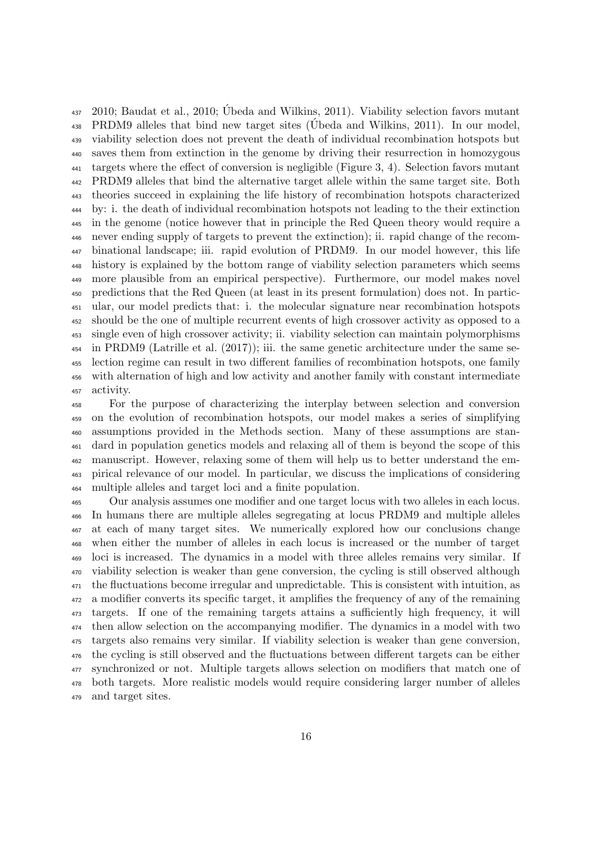; Baudat et al., 2010; Ubeda and Wilkins, 2011). Viability selection favors mutant  $_{438}$  PRDM9 alleles that bind new target sites (Ubeda and Wilkins, 2011). In our model, viability selection does not prevent the death of individual recombination hotspots but saves them from extinction in the genome by driving their resurrection in homozygous targets where the effect of conversion is negligible (Figure 3, 4). Selection favors mutant PRDM9 alleles that bind the alternative target allele within the same target site. Both theories succeed in explaining the life history of recombination hotspots characterized by: i. the death of individual recombination hotspots not leading to the their extinction in the genome (notice however that in principle the Red Queen theory would require a never ending supply of targets to prevent the extinction); ii. rapid change of the recom- binational landscape; iii. rapid evolution of PRDM9. In our model however, this life history is explained by the bottom range of viability selection parameters which seems more plausible from an empirical perspective). Furthermore, our model makes novel predictions that the Red Queen (at least in its present formulation) does not. In partic- ular, our model predicts that: i. the molecular signature near recombination hotspots should be the one of multiple recurrent events of high crossover activity as opposed to a single even of high crossover activity; ii. viability selection can maintain polymorphisms in PRDM9 (Latrille et al. (2017)); iii. the same genetic architecture under the same se- lection regime can result in two different families of recombination hotspots, one family with alternation of high and low activity and another family with constant intermediate activity.

 For the purpose of characterizing the interplay between selection and conversion on the evolution of recombination hotspots, our model makes a series of simplifying assumptions provided in the Methods section. Many of these assumptions are stan- dard in population genetics models and relaxing all of them is beyond the scope of this manuscript. However, relaxing some of them will help us to better understand the em- pirical relevance of our model. In particular, we discuss the implications of considering multiple alleles and target loci and a finite population.

 Our analysis assumes one modifier and one target locus with two alleles in each locus. In humans there are multiple alleles segregating at locus PRDM9 and multiple alleles at each of many target sites. We numerically explored how our conclusions change when either the number of alleles in each locus is increased or the number of target loci is increased. The dynamics in a model with three alleles remains very similar. If viability selection is weaker than gene conversion, the cycling is still observed although the fluctuations become irregular and unpredictable. This is consistent with intuition, as a modifier converts its specific target, it amplifies the frequency of any of the remaining targets. If one of the remaining targets attains a sufficiently high frequency, it will then allow selection on the accompanying modifier. The dynamics in a model with two targets also remains very similar. If viability selection is weaker than gene conversion, the cycling is still observed and the fluctuations between different targets can be either synchronized or not. Multiple targets allows selection on modifiers that match one of both targets. More realistic models would require considering larger number of alleles and target sites.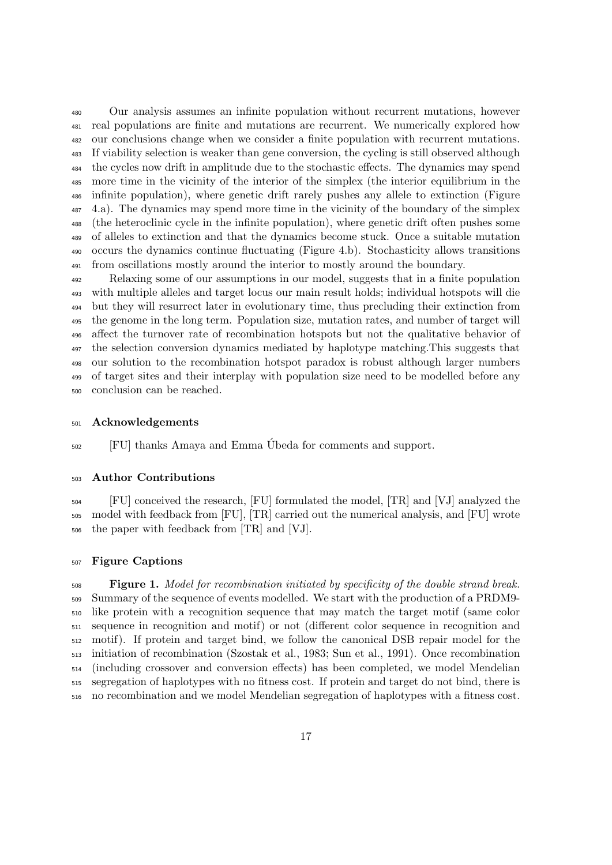Our analysis assumes an infinite population without recurrent mutations, however real populations are finite and mutations are recurrent. We numerically explored how our conclusions change when we consider a finite population with recurrent mutations. If viability selection is weaker than gene conversion, the cycling is still observed although the cycles now drift in amplitude due to the stochastic effects. The dynamics may spend more time in the vicinity of the interior of the simplex (the interior equilibrium in the infinite population), where genetic drift rarely pushes any allele to extinction (Figure 4.a). The dynamics may spend more time in the vicinity of the boundary of the simplex (the heteroclinic cycle in the infinite population), where genetic drift often pushes some of alleles to extinction and that the dynamics become stuck. Once a suitable mutation occurs the dynamics continue fluctuating (Figure 4.b). Stochasticity allows transitions from oscillations mostly around the interior to mostly around the boundary.

 Relaxing some of our assumptions in our model, suggests that in a finite population with multiple alleles and target locus our main result holds; individual hotspots will die but they will resurrect later in evolutionary time, thus precluding their extinction from the genome in the long term. Population size, mutation rates, and number of target will affect the turnover rate of recombination hotspots but not the qualitative behavior of the selection conversion dynamics mediated by haplotype matching.This suggests that our solution to the recombination hotspot paradox is robust although larger numbers of target sites and their interplay with population size need to be modelled before any conclusion can be reached.

### Acknowledgements

 $_{502}$  [FU] thanks Amaya and Emma Upeda for comments and support.

#### Author Contributions

 [FU] conceived the research, [FU] formulated the model, [TR] and [VJ] analyzed the model with feedback from [FU], [TR] carried out the numerical analysis, and [FU] wrote the paper with feedback from [TR] and [VJ].

#### Figure Captions

 Figure 1. Model for recombination initiated by specificity of the double strand break. Summary of the sequence of events modelled. We start with the production of a PRDM9- like protein with a recognition sequence that may match the target motif (same color sequence in recognition and motif) or not (different color sequence in recognition and motif). If protein and target bind, we follow the canonical DSB repair model for the initiation of recombination (Szostak et al., 1983; Sun et al., 1991). Once recombination (including crossover and conversion effects) has been completed, we model Mendelian segregation of haplotypes with no fitness cost. If protein and target do not bind, there is no recombination and we model Mendelian segregation of haplotypes with a fitness cost.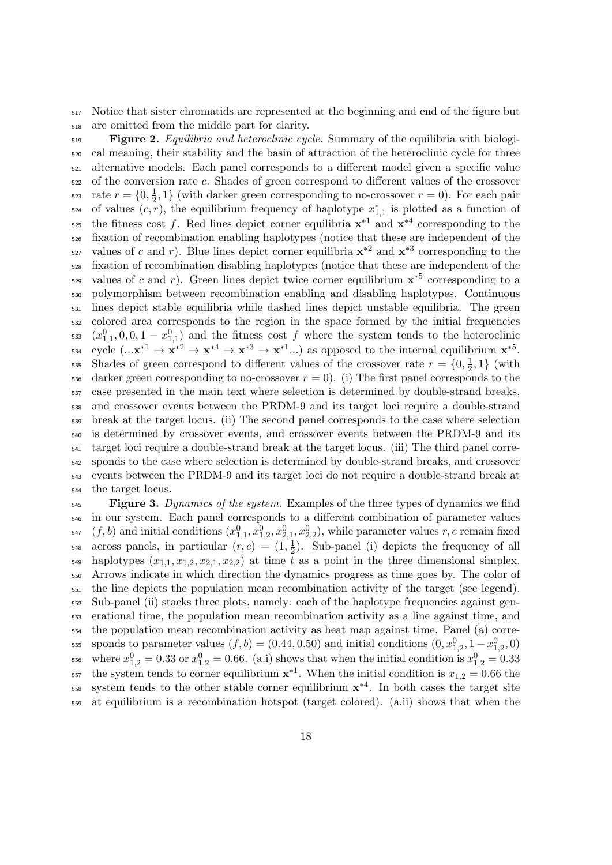Notice that sister chromatids are represented at the beginning and end of the figure but are omitted from the middle part for clarity.

 Figure 2. Equilibria and heteroclinic cycle. Summary of the equilibria with biologi- cal meaning, their stability and the basin of attraction of the heteroclinic cycle for three alternative models. Each panel corresponds to a different model given a specific value of the conversion rate c. Shades of green correspond to different values of the crossover rate  $r = \{0, \frac{1}{2}\}$ 523 rate  $r = \{0, \frac{1}{2}, 1\}$  (with darker green corresponding to no-crossover  $r = 0$ ). For each pair <sup>524</sup> of values  $(c, r)$ , the equilibrium frequency of haplotype  $x_{1,1}^*$  is plotted as a function of the fitness cost f. Red lines depict corner equilibria  $\mathbf{x}^{*1}$  and  $\mathbf{x}^{*4}$  corresponding to the fixation of recombination enabling haplotypes (notice that these are independent of the <sup>527</sup> values of c and r). Blue lines depict corner equilibria  $x^{*2}$  and  $x^{*3}$  corresponding to the fixation of recombination disabling haplotypes (notice that these are independent of the <sup>529</sup> values of c and r). Green lines depict twice corner equilibrium  $x^{*5}$  corresponding to a polymorphism between recombination enabling and disabling haplotypes. Continuous lines depict stable equilibria while dashed lines depict unstable equilibria. The green colored area corresponds to the region in the space formed by the initial frequencies  $(x_{1,1}^0, 0, 0, 1 - x_{1,1}^0)$  and the fitness cost f where the system tends to the heteroclinic  $\text{cycle } (\dots \mathbf{x}^{*1} \to \mathbf{x}^{*2} \to \mathbf{x}^{*4} \to \mathbf{x}^{*3} \to \mathbf{x}^{*1} \dots)$  as opposed to the internal equilibrium  $\mathbf{x}^{*5}$ . Shades of green correspond to different values of the crossover rate  $r = \{0, \frac{1}{2}\}$ <sup>535</sup> Shades of green correspond to different values of the crossover rate  $r = \{0, \frac{1}{2}, 1\}$  (with darker green corresponding to no-crossover  $r = 0$ ). (i) The first panel corresponds to the case presented in the main text where selection is determined by double-strand breaks, and crossover events between the PRDM-9 and its target loci require a double-strand break at the target locus. (ii) The second panel corresponds to the case where selection is determined by crossover events, and crossover events between the PRDM-9 and its target loci require a double-strand break at the target locus. (iii) The third panel corre- sponds to the case where selection is determined by double-strand breaks, and crossover events between the PRDM-9 and its target loci do not require a double-strand break at the target locus.

<sup>545</sup> Figure 3. Dynamics of the system. Examples of the three types of dynamics we find in our system. Each panel corresponds to a different combination of parameter values <sup>547</sup>  $(f, b)$  and initial conditions  $(x_{1,1}^0, x_{1,2}^0, x_{2,1}^0, x_{2,2}^0)$ , while parameter values r, c remain fixed across panels, in particular  $(r, c) = (1, \frac{1}{2})$ <sup>548</sup> across panels, in particular  $(r, c) = (1, \frac{1}{2})$ . Sub-panel (i) depicts the frequency of all  $\mu_1$ <sub>549</sub> haplotypes  $(x_{1,1}, x_{1,2}, x_{2,1}, x_{2,2})$  at time t as a point in the three dimensional simplex. Arrows indicate in which direction the dynamics progress as time goes by. The color of the line depicts the population mean recombination activity of the target (see legend). Sub-panel (ii) stacks three plots, namely: each of the haplotype frequencies against gen- erational time, the population mean recombination activity as a line against time, and the population mean recombination activity as heat map against time. Panel (a) corre-555 sponds to parameter values  $(f, b) = (0.44, 0.50)$  and initial conditions  $(0, x_{1,2}^0, 1-x_{1,2}^0, 0)$ 556 where  $x_{1,2}^0 = 0.33$  or  $x_{1,2}^0 = 0.66$ . (a.i) shows that when the initial condition is  $x_{1,2}^0 = 0.33$ <sup>557</sup> the system tends to corner equilibrium  $x^{*1}$ . When the initial condition is  $x_{1,2} = 0.66$  the 558 system tends to the other stable corner equilibrium  $x^{*4}$ . In both cases the target site at equilibrium is a recombination hotspot (target colored). (a.ii) shows that when the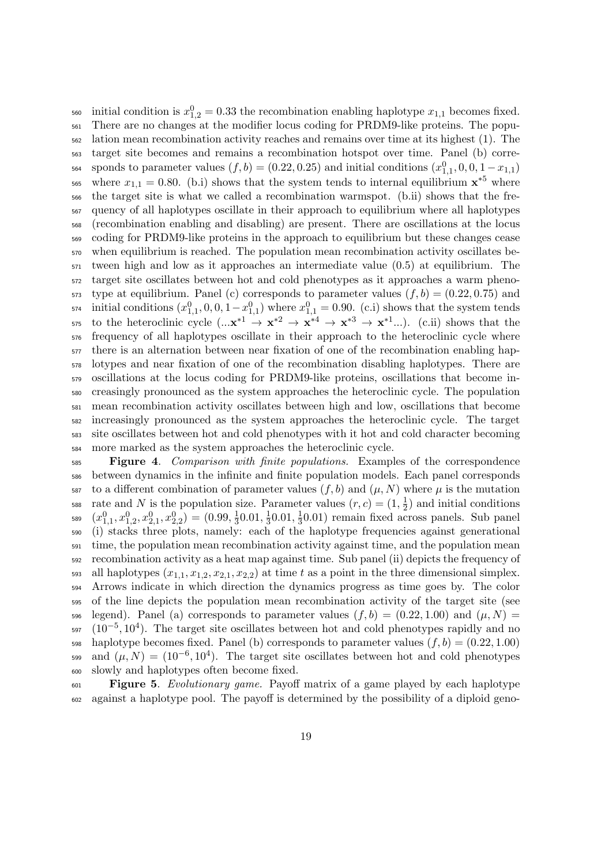560 initial condition is  $x_{1,2}^0 = 0.33$  the recombination enabling haplotype  $x_{1,1}$  becomes fixed. There are no changes at the modifier locus coding for PRDM9-like proteins. The popu- lation mean recombination activity reaches and remains over time at its highest (1). The target site becomes and remains a recombination hotspot over time. Panel (b) corre-564 sponds to parameter values  $(f, b) = (0.22, 0.25)$  and initial conditions  $(x_{1,1}^0, 0, 0, 1-x_{1,1})$ <sup>565</sup> where  $x_{1,1} = 0.80$ . (b.i) shows that the system tends to internal equilibrium  $\mathbf{x}^{*5}$  where the target site is what we called a recombination warmspot. (b.ii) shows that the fre- quency of all haplotypes oscillate in their approach to equilibrium where all haplotypes (recombination enabling and disabling) are present. There are oscillations at the locus coding for PRDM9-like proteins in the approach to equilibrium but these changes cease when equilibrium is reached. The population mean recombination activity oscillates be- tween high and low as it approaches an intermediate value (0.5) at equilibrium. The target site oscillates between hot and cold phenotypes as it approaches a warm pheno-573 type at equilibrium. Panel (c) corresponds to parameter values  $(f, b) = (0.22, 0.75)$  and  $_{574}$  initial conditions  $(x_{1,1}^0, 0, 1-x_{1,1}^0)$  where  $x_{1,1}^0 = 0.90$ . (c.i) shows that the system tends 575 to the heteroclinic cycle  $(...x^{*1} \rightarrow x^{*2} \rightarrow x^{*4} \rightarrow x^{*3} \rightarrow x^{*1} ...)$ . (c.ii) shows that the frequency of all haplotypes oscillate in their approach to the heteroclinic cycle where there is an alternation between near fixation of one of the recombination enabling hap- lotypes and near fixation of one of the recombination disabling haplotypes. There are oscillations at the locus coding for PRDM9-like proteins, oscillations that become in- creasingly pronounced as the system approaches the heteroclinic cycle. The population mean recombination activity oscillates between high and low, oscillations that become increasingly pronounced as the system approaches the heteroclinic cycle. The target site oscillates between hot and cold phenotypes with it hot and cold character becoming more marked as the system approaches the heteroclinic cycle.

 Figure 4. Comparison with finite populations. Examples of the correspondence between dynamics in the infinite and finite population models. Each panel corresponds 587 to a different combination of parameter values  $(f, b)$  and  $(\mu, N)$  where  $\mu$  is the mutation rate and N is the population size. Parameter values  $(r, c) = (1, \frac{1}{2})$ 588 rate and N is the population size. Parameter values  $(r, c) = (1, \frac{1}{2})$  and initial conditions  $(x_{1,1}^0, x_{1,2}^0, x_{2,1}^0, x_{2,2}^0) = (0.99, \frac{1}{3})$  $\frac{1}{3}0.01, \frac{1}{3}$  $\frac{1}{3}0.01, \frac{1}{3}$  $\{x_{1,1}^0,x_{1,2}^0,x_{2,1}^0,x_{2,2}^0\}=(0.99,\frac{1}{3}0.01,\frac{1}{3}0.01,\frac{1}{3}0.01)$  remain fixed across panels. Sub panel (i) stacks three plots, namely: each of the haplotype frequencies against generational time, the population mean recombination activity against time, and the population mean recombination activity as a heat map against time. Sub panel (ii) depicts the frequency of 593 all haplotypes  $(x_{1,1}, x_{1,2}, x_{2,1}, x_{2,2})$  at time t as a point in the three dimensional simplex. Arrows indicate in which direction the dynamics progress as time goes by. The color of the line depicts the population mean recombination activity of the target site (see 596 legend). Panel (a) corresponds to parameter values  $(f, b) = (0.22, 1.00)$  and  $(\mu, N) =$   $(10^{-5}, 10^{4})$ . The target site oscillates between hot and cold phenotypes rapidly and no 598 haplotype becomes fixed. Panel (b) corresponds to parameter values  $(f, b) = (0.22, 1.00)$ <sub>599</sub> and  $(\mu, N) = (10^{-6}, 10^{4})$ . The target site oscillates between hot and cold phenotypes slowly and haplotypes often become fixed.

<sup>601</sup> Figure 5. Evolutionary game. Payoff matrix of a game played by each haplotype against a haplotype pool. The payoff is determined by the possibility of a diploid geno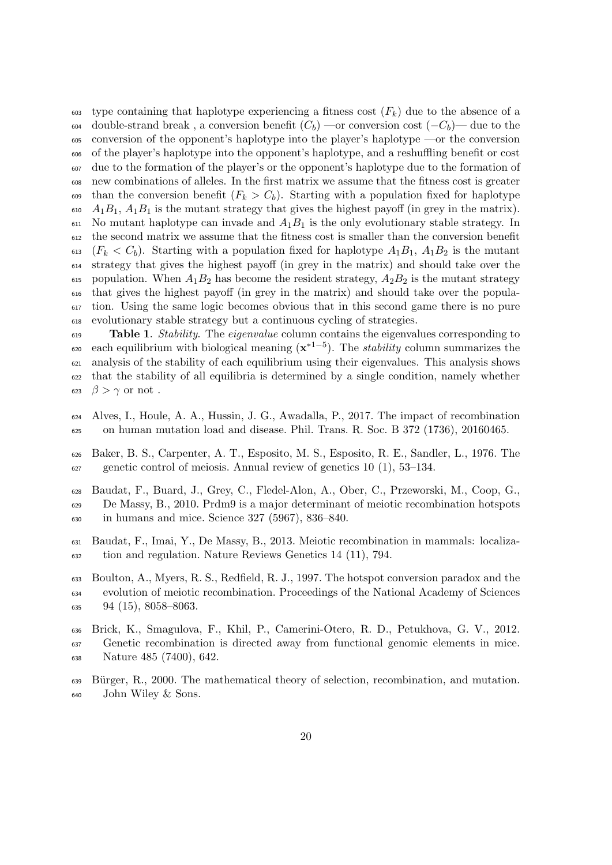603 type containing that haplotype experiencing a fitness cost  $(F_k)$  due to the absence of a 604 double-strand break, a conversion benefit  $(C_b)$  —or conversion cost  $(-C_b)$ — due to the conversion of the opponent's haplotype into the player's haplotype —or the conversion of the player's haplotype into the opponent's haplotype, and a reshuffling benefit or cost due to the formation of the player's or the opponent's haplotype due to the formation of new combinations of alleles. In the first matrix we assume that the fitness cost is greater 609 than the conversion benefit  $(F_k > C_b)$ . Starting with a population fixed for haplotype  $\epsilon_{00}$   $A_1B_1$ ,  $A_1B_1$  is the mutant strategy that gives the highest payoff (in grey in the matrix). No mutant haplotype can invade and  $A_1B_1$  is the only evolutionary stable strategy. In the second matrix we assume that the fitness cost is smaller than the conversion benefit  $(F_k < C_b)$ . Starting with a population fixed for haplotype  $A_1B_1$ ,  $A_1B_2$  is the mutant strategy that gives the highest payoff (in grey in the matrix) and should take over the 615 population. When  $A_1B_2$  has become the resident strategy,  $A_2B_2$  is the mutant strategy that gives the highest payoff (in grey in the matrix) and should take over the popula- tion. Using the same logic becomes obvious that in this second game there is no pure evolutionary stable strategy but a continuous cycling of strategies.

**Table 1.** Stability. The eigenvalue column contains the eigenvalues corresponding to  $\epsilon_{0.0000}$  each equilibrium with biological meaning  $(x^{*1-5})$ . The *stability* column summarizes the analysis of the stability of each equilibrium using their eigenvalues. This analysis shows that the stability of all equilibria is determined by a single condition, namely whether 623  $\beta > \gamma$  or not.

- Alves, I., Houle, A. A., Hussin, J. G., Awadalla, P., 2017. The impact of recombination on human mutation load and disease. Phil. Trans. R. Soc. B 372 (1736), 20160465.
- Baker, B. S., Carpenter, A. T., Esposito, M. S., Esposito, R. E., Sandler, L., 1976. The  $\epsilon_{627}$  genetic control of meiosis. Annual review of genetics 10 (1), 53–134.
- Baudat, F., Buard, J., Grey, C., Fledel-Alon, A., Ober, C., Przeworski, M., Coop, G., De Massy, B., 2010. Prdm9 is a major determinant of meiotic recombination hotspots in humans and mice. Science 327 (5967), 836–840.
- Baudat, F., Imai, Y., De Massy, B., 2013. Meiotic recombination in mammals: localiza-tion and regulation. Nature Reviews Genetics 14 (11), 794.
- Boulton, A., Myers, R. S., Redfield, R. J., 1997. The hotspot conversion paradox and the evolution of meiotic recombination. Proceedings of the National Academy of Sciences 94 (15), 8058-8063.
- Brick, K., Smagulova, F., Khil, P., Camerini-Otero, R. D., Petukhova, G. V., 2012. Genetic recombination is directed away from functional genomic elements in mice.
- Nature 485 (7400), 642.
- 639 Bürger, R., 2000. The mathematical theory of selection, recombination, and mutation. John Wiley & Sons.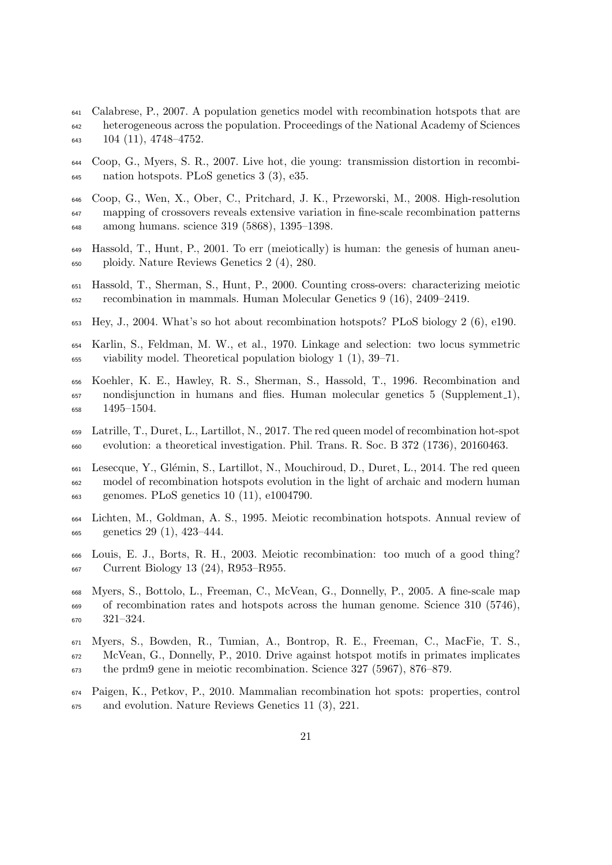- Calabrese, P., 2007. A population genetics model with recombination hotspots that are heterogeneous across the population. Proceedings of the National Academy of Sciences 104 (11), 4748-4752.
- Coop, G., Myers, S. R., 2007. Live hot, die young: transmission distortion in recombi-nation hotspots. PLoS genetics 3 (3), e35.
- Coop, G., Wen, X., Ober, C., Pritchard, J. K., Przeworski, M., 2008. High-resolution mapping of crossovers reveals extensive variation in fine-scale recombination patterns among humans. science 319 (5868), 1395–1398.
- Hassold, T., Hunt, P., 2001. To err (meiotically) is human: the genesis of human aneu-ploidy. Nature Reviews Genetics 2 (4), 280.
- Hassold, T., Sherman, S., Hunt, P., 2000. Counting cross-overs: characterizing meiotic recombination in mammals. Human Molecular Genetics 9 (16), 2409–2419.
- Hey, J., 2004. What's so hot about recombination hotspots? PLoS biology 2 (6), e190.
- Karlin, S., Feldman, M. W., et al., 1970. Linkage and selection: two locus symmetric viability model. Theoretical population biology 1 (1), 39–71.
- Koehler, K. E., Hawley, R. S., Sherman, S., Hassold, T., 1996. Recombination and nondisjunction in humans and flies. Human molecular genetics 5 (Supplement 1), 1495–1504.
- Latrille, T., Duret, L., Lartillot, N., 2017. The red queen model of recombination hot-spot evolution: a theoretical investigation. Phil. Trans. R. Soc. B 372 (1736), 20160463.
- <sup>661</sup> Lesecque, Y., Glémin, S., Lartillot, N., Mouchiroud, D., Duret, L., 2014. The red queen model of recombination hotspots evolution in the light of archaic and modern human genomes. PLoS genetics 10 (11), e1004790.
- Lichten, M., Goldman, A. S., 1995. Meiotic recombination hotspots. Annual review of genetics 29 (1), 423–444.
- Louis, E. J., Borts, R. H., 2003. Meiotic recombination: too much of a good thing? Current Biology 13 (24), R953–R955.
- Myers, S., Bottolo, L., Freeman, C., McVean, G., Donnelly, P., 2005. A fine-scale map of recombination rates and hotspots across the human genome. Science 310 (5746), 321–324.
- Myers, S., Bowden, R., Tumian, A., Bontrop, R. E., Freeman, C., MacFie, T. S., McVean, G., Donnelly, P., 2010. Drive against hotspot motifs in primates implicates the prdm9 gene in meiotic recombination. Science 327 (5967), 876–879.
- Paigen, K., Petkov, P., 2010. Mammalian recombination hot spots: properties, control and evolution. Nature Reviews Genetics 11 (3), 221.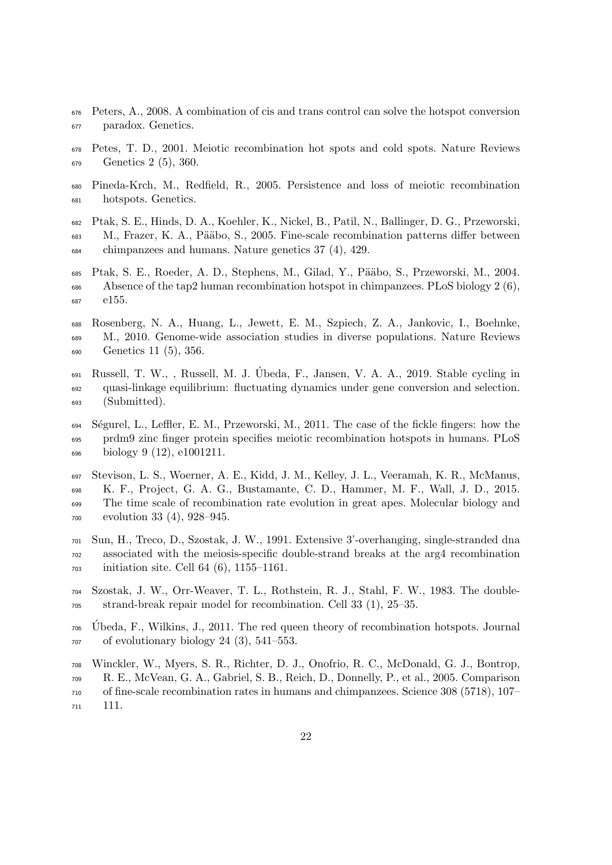- Peters, A., 2008. A combination of cis and trans control can solve the hotspot conversion paradox. Genetics.
- Petes, T. D., 2001. Meiotic recombination hot spots and cold spots. Nature Reviews Genetics 2 (5), 360.
- Pineda-Krch, M., Redfield, R., 2005. Persistence and loss of meiotic recombination hotspots. Genetics.
- Ptak, S. E., Hinds, D. A., Koehler, K., Nickel, B., Patil, N., Ballinger, D. G., Przeworski, 683 M., Frazer, K. A., Pääbo, S., 2005. Fine-scale recombination patterns differ between chimpanzees and humans. Nature genetics 37 (4), 429.
- <sup>685</sup> Ptak, S. E., Roeder, A. D., Stephens, M., Gilad, Y., Pääbo, S., Przeworski, M., 2004. 686 Absence of the tap2 human recombination hotspot in chimpanzees. PLoS biology  $2(6)$ , e155.
- Rosenberg, N. A., Huang, L., Jewett, E. M., Szpiech, Z. A., Jankovic, I., Boehnke, M., 2010. Genome-wide association studies in diverse populations. Nature Reviews Genetics 11 (5), 356.
- Russell, T. W., , Russell, M. J. Ubeda, F., Jansen, V. A. A., 2019. Stable cycling in ´ quasi-linkage equilibrium: fluctuating dynamics under gene conversion and selection. (Submitted).
- S´egurel, L., Leffler, E. M., Przeworski, M., 2011. The case of the fickle fingers: how the prdm9 zinc finger protein specifies meiotic recombination hotspots in humans. PLoS biology 9 (12), e1001211.
- Stevison, L. S., Woerner, A. E., Kidd, J. M., Kelley, J. L., Veeramah, K. R., McManus, K. F., Project, G. A. G., Bustamante, C. D., Hammer, M. F., Wall, J. D., 2015. The time scale of recombination rate evolution in great apes. Molecular biology and evolution 33 (4), 928–945.
- Sun, H., Treco, D., Szostak, J. W., 1991. Extensive 3'-overhanging, single-stranded dna associated with the meiosis-specific double-strand breaks at the arg4 recombination initiation site. Cell 64 (6), 1155–1161.
- Szostak, J. W., Orr-Weaver, T. L., Rothstein, R. J., Stahl, F. W., 1983. The double-strand-break repair model for recombination. Cell 33 (1), 25–35.
- $\bar{U}$  Ubeda, F., Wilkins, J., 2011. The red queen theory of recombination hotspots. Journal of evolutionary biology 24 (3), 541–553.
- Winckler, W., Myers, S. R., Richter, D. J., Onofrio, R. C., McDonald, G. J., Bontrop, R. E., McVean, G. A., Gabriel, S. B., Reich, D., Donnelly, P., et al., 2005. Comparison of fine-scale recombination rates in humans and chimpanzees. Science 308 (5718), 107– 111.